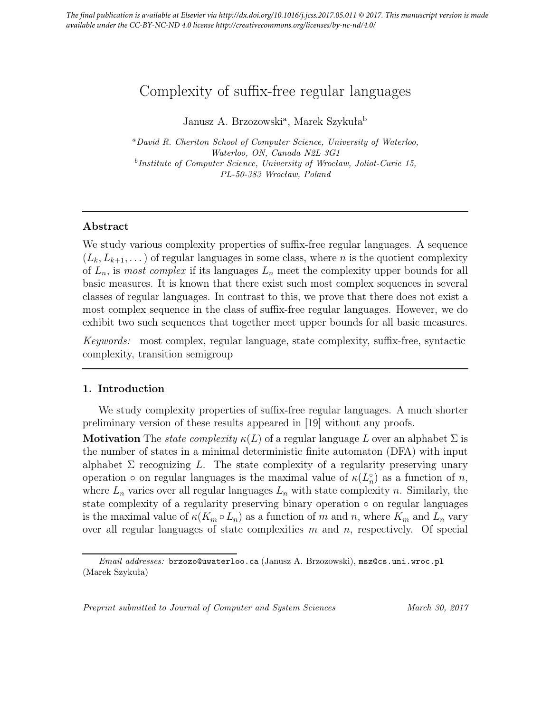# Complexity of suffix-free regular languages

Janusz A. Brzozowski<sup>a</sup>, Marek Szykuła<sup>b</sup>

<sup>a</sup>*David R. Cheriton School of Computer Science, University of Waterloo, Waterloo, ON, Canada N2L 3G1* b *Institute of Computer Science, University of Wrocław, Joliot-Curie 15, PL-50-383 Wrocław, Poland*

## Abstract

We study various complexity properties of suffix-free regular languages. A sequence  $(L_k, L_{k+1}, \dots)$  of regular languages in some class, where n is the quotient complexity of  $L_n$ , is most complex if its languages  $L_n$  meet the complexity upper bounds for all basic measures. It is known that there exist such most complex sequences in several classes of regular languages. In contrast to this, we prove that there does not exist a most complex sequence in the class of suffix-free regular languages. However, we do exhibit two such sequences that together meet upper bounds for all basic measures.

Keywords: most complex, regular language, state complexity, suffix-free, syntactic complexity, transition semigroup

## 1. Introduction

We study complexity properties of suffix-free regular languages. A much shorter preliminary version of these results appeared in [19] without any proofs.

**Motivation** The *state complexity*  $\kappa(L)$  of a regular language L over an alphabet  $\Sigma$  is the number of states in a minimal deterministic finite automaton (DFA) with input alphabet  $\Sigma$  recognizing L. The state complexity of a regularity preserving unary operation  $\circ$  on regular languages is the maximal value of  $\kappa(L_n^{\circ})$  as a function of n, where  $L_n$  varies over all regular languages  $L_n$  with state complexity n. Similarly, the state complexity of a regularity preserving binary operation ∘ on regular languages is the maximal value of  $\kappa(K_m \circ L_n)$  as a function of m and n, where  $K_m$  and  $L_n$  vary over all regular languages of state complexities  $m$  and  $n$ , respectively. Of special

*Preprint submitted to Journal of Computer and System Sciences March 30, 2017*

*Email addresses:* brzozo@uwaterloo.ca (Janusz A. Brzozowski), msz@cs.uni.wroc.pl (Marek Szykuła)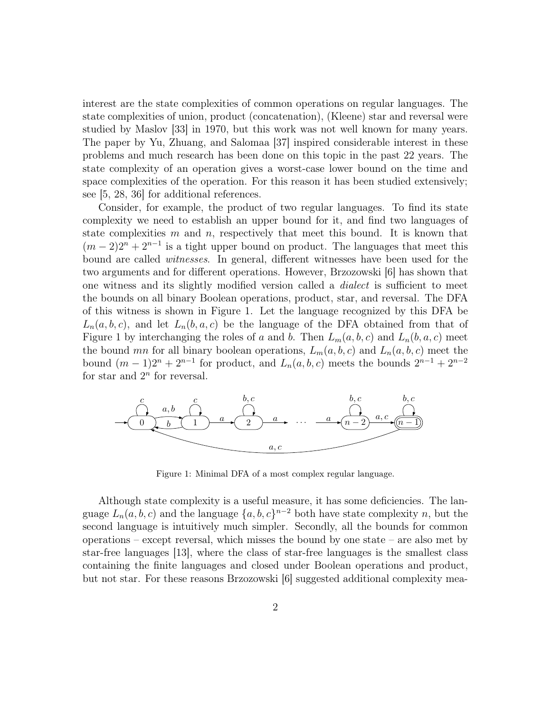interest are the state complexities of common operations on regular languages. The state complexities of union, product (concatenation), (Kleene) star and reversal were studied by Maslov [33] in 1970, but this work was not well known for many years. The paper by Yu, Zhuang, and Salomaa [37] inspired considerable interest in these problems and much research has been done on this topic in the past 22 years. The state complexity of an operation gives a worst-case lower bound on the time and space complexities of the operation. For this reason it has been studied extensively; see [5, 28, 36] for additional references.

Consider, for example, the product of two regular languages. To find its state complexity we need to establish an upper bound for it, and find two languages of state complexities  $m$  and  $n$ , respectively that meet this bound. It is known that  $(m-2)2^{n} + 2^{n-1}$  is a tight upper bound on product. The languages that meet this bound are called witnesses. In general, different witnesses have been used for the two arguments and for different operations. However, Brzozowski [6] has shown that one witness and its slightly modified version called a dialect is sufficient to meet the bounds on all binary Boolean operations, product, star, and reversal. The DFA of this witness is shown in Figure 1. Let the language recognized by this DFA be  $L_n(a, b, c)$ , and let  $L_n(b, a, c)$  be the language of the DFA obtained from that of Figure 1 by interchanging the roles of a and b. Then  $L_m(a, b, c)$  and  $L_n(b, a, c)$  meet the bound mn for all binary boolean operations,  $L_m(a, b, c)$  and  $L_n(a, b, c)$  meet the bound  $(m-1)2^{n} + 2^{n-1}$  for product, and  $L_n(a, b, c)$  meets the bounds  $2^{n-1} + 2^{n-2}$ for star and  $2^n$  for reversal.



Figure 1: Minimal DFA of a most complex regular language.

Although state complexity is a useful measure, it has some deficiencies. The language  $L_n(a, b, c)$  and the language  $\{a, b, c\}^{n-2}$  both have state complexity n, but the second language is intuitively much simpler. Secondly, all the bounds for common operations – except reversal, which misses the bound by one state – are also met by star-free languages [13], where the class of star-free languages is the smallest class containing the finite languages and closed under Boolean operations and product, but not star. For these reasons Brzozowski [6] suggested additional complexity mea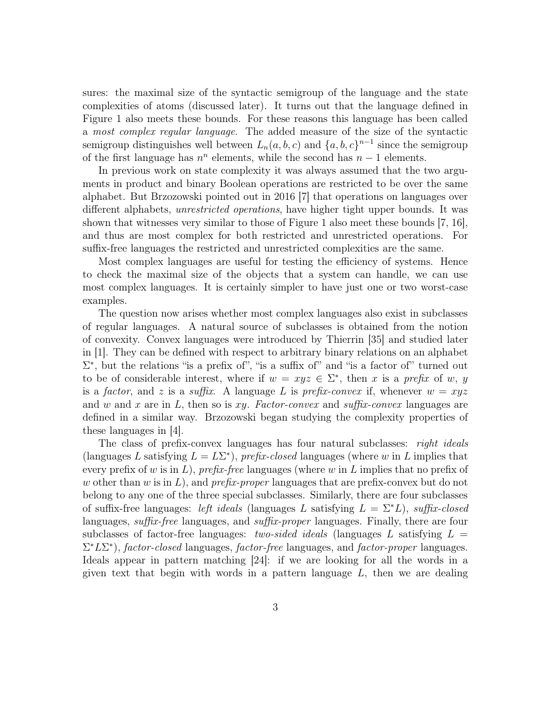sures: the maximal size of the syntactic semigroup of the language and the state complexities of atoms (discussed later). It turns out that the language defined in Figure 1 also meets these bounds. For these reasons this language has been called a most complex regular language. The added measure of the size of the syntactic semigroup distinguishes well between  $L_n(a, b, c)$  and  $\{a, b, c\}^{n-1}$  since the semigroup of the first language has  $n^n$  elements, while the second has  $n-1$  elements.

In previous work on state complexity it was always assumed that the two arguments in product and binary Boolean operations are restricted to be over the same alphabet. But Brzozowski pointed out in 2016 [7] that operations on languages over different alphabets, unrestricted operations, have higher tight upper bounds. It was shown that witnesses very similar to those of Figure 1 also meet these bounds [7, 16], and thus are most complex for both restricted and unrestricted operations. For suffix-free languages the restricted and unrestricted complexities are the same.

Most complex languages are useful for testing the efficiency of systems. Hence to check the maximal size of the objects that a system can handle, we can use most complex languages. It is certainly simpler to have just one or two worst-case examples.

The question now arises whether most complex languages also exist in subclasses of regular languages. A natural source of subclasses is obtained from the notion of convexity. Convex languages were introduced by Thierrin [35] and studied later in [1]. They can be defined with respect to arbitrary binary relations on an alphabet  $\Sigma^*$ , but the relations "is a prefix of", "is a suffix of" and "is a factor of" turned out to be of considerable interest, where if  $w = xyz \in \Sigma^*$ , then x is a prefix of w, y is a factor, and z is a suffix. A language L is prefix-convex if, whenever  $w = xyz$ and w and x are in L, then so is xy. Factor-convex and suffix-convex languages are defined in a similar way. Brzozowski began studying the complexity properties of these languages in [4].

The class of prefix-convex languages has four natural subclasses: *right ideals* (languages L satisfying  $L = L\Sigma^*$ ), prefix-closed languages (where w in L implies that every prefix of w is in  $L$ ), prefix-free languages (where w in  $L$  implies that no prefix of w other than w is in L), and prefix-proper languages that are prefix-convex but do not belong to any one of the three special subclasses. Similarly, there are four subclasses of suffix-free languages: left ideals (languages L satisfying  $L = \Sigma^* L$ ), suffix-closed languages, *suffix-free* languages, and *suffix-proper* languages. Finally, there are four subclasses of factor-free languages: two-sided ideals (languages L satisfying  $L =$  $\Sigma^* L \Sigma^*$ ), factor-closed languages, factor-free languages, and factor-proper languages. Ideals appear in pattern matching [24]: if we are looking for all the words in a given text that begin with words in a pattern language  $L$ , then we are dealing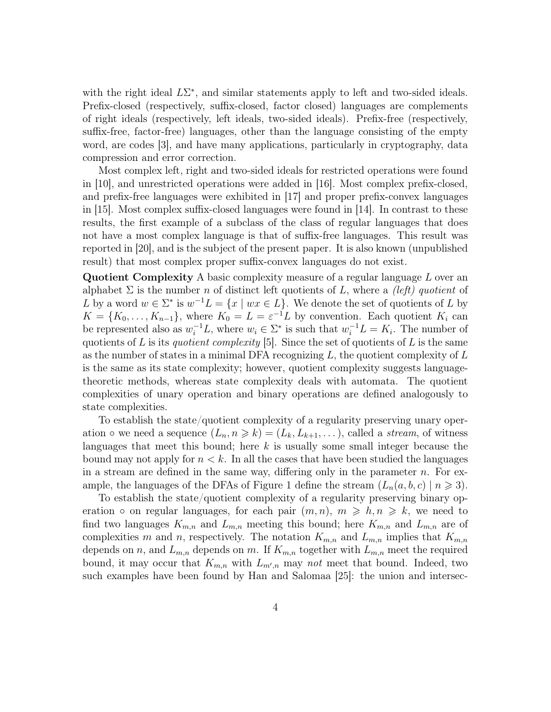with the right ideal  $L\Sigma^*$ , and similar statements apply to left and two-sided ideals. Prefix-closed (respectively, suffix-closed, factor closed) languages are complements of right ideals (respectively, left ideals, two-sided ideals). Prefix-free (respectively, suffix-free, factor-free) languages, other than the language consisting of the empty word, are codes [3], and have many applications, particularly in cryptography, data compression and error correction.

Most complex left, right and two-sided ideals for restricted operations were found in [10], and unrestricted operations were added in [16]. Most complex prefix-closed, and prefix-free languages were exhibited in [17] and proper prefix-convex languages in [15]. Most complex suffix-closed languages were found in [14]. In contrast to these results, the first example of a subclass of the class of regular languages that does not have a most complex language is that of suffix-free languages. This result was reported in [20], and is the subject of the present paper. It is also known (unpublished result) that most complex proper suffix-convex languages do not exist.

Quotient Complexity A basic complexity measure of a regular language L over an alphabet  $\Sigma$  is the number n of distinct left quotients of L, where a *(left) quotient* of L by a word  $w \in \Sigma^*$  is  $w^{-1}L = \{x \mid wx \in L\}$ . We denote the set of quotients of L by  $K = \{K_0, \ldots, K_{n-1}\}\$ , where  $K_0 = L = \varepsilon^{-1}L$  by convention. Each quotient  $K_i$  can be represented also as  $w_i^{-1}L$ , where  $w_i \in \Sigma^*$  is such that  $w_i^{-1}L = K_i$ . The number of quotients of L is its *quotient complexity* [5]. Since the set of quotients of L is the same as the number of states in a minimal DFA recognizing  $L$ , the quotient complexity of  $L$ is the same as its state complexity; however, quotient complexity suggests languagetheoretic methods, whereas state complexity deals with automata. The quotient complexities of unary operation and binary operations are defined analogously to state complexities.

To establish the state/quotient complexity of a regularity preserving unary operation  $\circ$  we need a sequence  $(L_n, n \geq k) = (L_k, L_{k+1}, \ldots)$ , called a *stream*, of witness languages that meet this bound; here  $k$  is usually some small integer because the bound may not apply for  $n < k$ . In all the cases that have been studied the languages in a stream are defined in the same way, differing only in the parameter  $n$ . For example, the languages of the DFAs of Figure 1 define the stream  $(L_n(a, b, c) \mid n \geq 3)$ .

To establish the state/quotient complexity of a regularity preserving binary operation • on regular languages, for each pair  $(m, n)$ ,  $m \geqslant h, n \geqslant k$ , we need to find two languages  $K_{m,n}$  and  $L_{m,n}$  meeting this bound; here  $K_{m,n}$  and  $L_{m,n}$  are of complexities m and n, respectively. The notation  $K_{m,n}$  and  $L_{m,n}$  implies that  $K_{m,n}$ depends on n, and  $L_{m,n}$  depends on m. If  $K_{m,n}$  together with  $L_{m,n}$  meet the required bound, it may occur that  $K_{m,n}$  with  $L_{m',n}$  may not meet that bound. Indeed, two such examples have been found by Han and Salomaa [25]: the union and intersec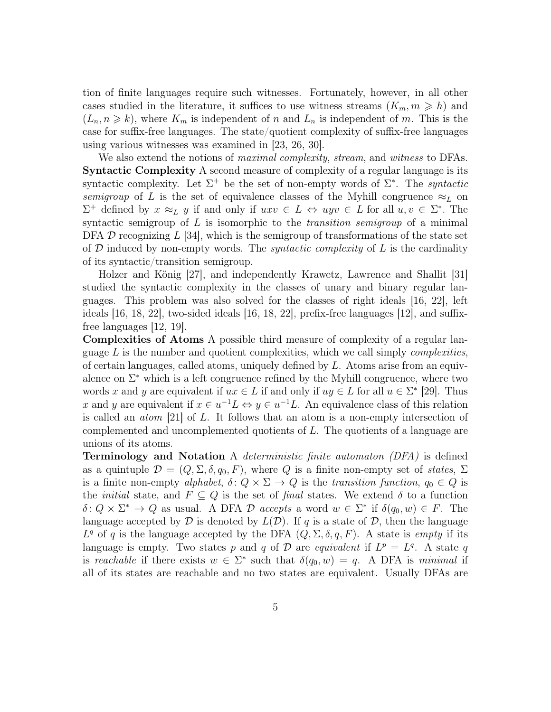tion of finite languages require such witnesses. Fortunately, however, in all other cases studied in the literature, it suffices to use witness streams  $(K_m, m \geq h)$  and  $(L_n, n \geq k)$ , where  $K_m$  is independent of n and  $L_n$  is independent of m. This is the case for suffix-free languages. The state/quotient complexity of suffix-free languages using various witnesses was examined in [23, 26, 30].

We also extend the notions of *maximal complexity, stream*, and *witness* to DFAs. Syntactic Complexity A second measure of complexity of a regular language is its syntactic complexity. Let  $\Sigma^+$  be the set of non-empty words of  $\Sigma^*$ . The *syntactic* semigroup of L is the set of equivalence classes of the Myhill congruence  $\approx_L$  on  $\Sigma^+$  defined by  $x \approx_L y$  if and only if  $uxv \in L \Leftrightarrow uyv \in L$  for all  $u, v \in \Sigma^*$ . The syntactic semigroup of L is isomorphic to the transition semigroup of a minimal DFA  $\mathcal D$  recognizing L [34], which is the semigroup of transformations of the state set of  $D$  induced by non-empty words. The *syntactic complexity* of  $L$  is the cardinality of its syntactic/transition semigroup.

Holzer and König [27], and independently Krawetz, Lawrence and Shallit [31] studied the syntactic complexity in the classes of unary and binary regular languages. This problem was also solved for the classes of right ideals [16, 22], left ideals  $[16, 18, 22]$ , two-sided ideals  $[16, 18, 22]$ , prefix-free languages  $[12]$ , and suffixfree languages [12, 19].

Complexities of Atoms A possible third measure of complexity of a regular language  $L$  is the number and quotient complexities, which we call simply *complexities*, of certain languages, called atoms, uniquely defined by L. Atoms arise from an equivalence on  $\Sigma^*$  which is a left congruence refined by the Myhill congruence, where two words x and y are equivalent if  $ux \in L$  if and only if  $uy \in L$  for all  $u \in \Sigma^*$  [29]. Thus x and y are equivalent if  $x \in u^{-1}L \Leftrightarrow y \in u^{-1}L$ . An equivalence class of this relation is called an atom [21] of L. It follows that an atom is a non-empty intersection of complemented and uncomplemented quotients of L. The quotients of a language are unions of its atoms.

**Terminology and Notation** A *deterministic finite automaton (DFA)* is defined as a quintuple  $\mathcal{D} = (Q, \Sigma, \delta, q_0, F)$ , where Q is a finite non-empty set of states,  $\Sigma$ is a finite non-empty alphabet,  $\delta: Q \times \Sigma \to Q$  is the transition function,  $q_0 \in Q$  is the *initial* state, and  $F \subseteq Q$  is the set of final states. We extend  $\delta$  to a function  $\delta: Q \times \Sigma^* \to Q$  as usual. A DFA D accepts a word  $w \in \Sigma^*$  if  $\delta(q_0, w) \in F$ . The language accepted by  $\mathcal D$  is denoted by  $L(\mathcal D)$ . If q is a state of  $\mathcal D$ , then the language  $L^q$  of q is the language accepted by the DFA  $(Q, \Sigma, \delta, q, F)$ . A state is *empty* if its language is empty. Two states p and q of  $\mathcal D$  are equivalent if  $L^p = L^q$ . A state q is reachable if there exists  $w \in \Sigma^*$  such that  $\delta(q_0, w) = q$ . A DFA is minimal if all of its states are reachable and no two states are equivalent. Usually DFAs are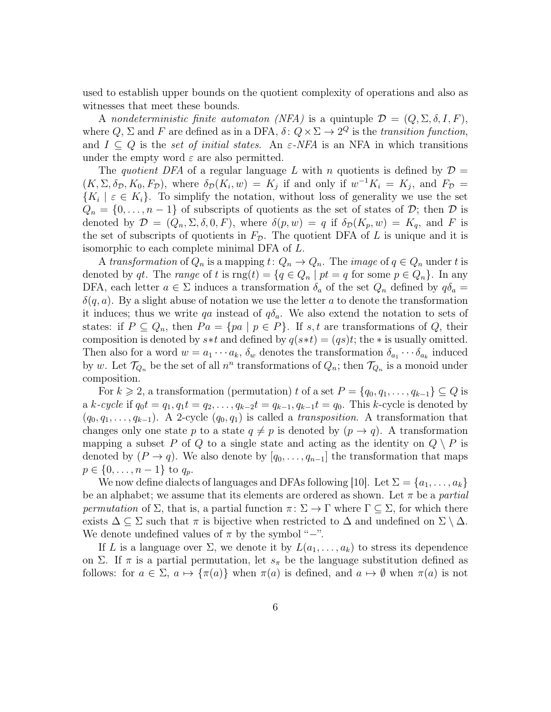used to establish upper bounds on the quotient complexity of operations and also as witnesses that meet these bounds.

A nondeterministic finite automaton (NFA) is a quintuple  $\mathcal{D} = (Q, \Sigma, \delta, I, F)$ , where  $Q, \Sigma$  and F are defined as in a DFA,  $\delta: Q \times \Sigma \to 2^Q$  is the transition function, and  $I \subseteq Q$  is the set of initial states. An  $\varepsilon$ -NFA is an NFA in which transitions under the empty word  $\varepsilon$  are also permitted.

The quotient DFA of a regular language L with n quotients is defined by  $\mathcal{D} =$  $(K, \Sigma, \delta_{\mathcal{D}}, K_0, F_{\mathcal{D}})$ , where  $\delta_{\mathcal{D}}(K_i, w) = K_j$  if and only if  $w^{-1}K_i = K_j$ , and  $F_{\mathcal{D}} =$  ${K_i \mid \varepsilon \in K_i}$ . To simplify the notation, without loss of generality we use the set  $Q_n = \{0, \ldots, n-1\}$  of subscripts of quotients as the set of states of  $\mathcal{D}$ ; then  $\mathcal D$  is denoted by  $\mathcal{D} = (Q_n, \Sigma, \delta, 0, F)$ , where  $\delta(p, w) = q$  if  $\delta_{\mathcal{D}}(K_p, w) = K_q$ , and F is the set of subscripts of quotients in  $F_{\mathcal{D}}$ . The quotient DFA of L is unique and it is isomorphic to each complete minimal DFA of L.

A transformation of  $Q_n$  is a mapping  $t: Q_n \to Q_n$ . The image of  $q \in Q_n$  under t is denoted by qt. The range of t is  $\text{rng}(t) = \{q \in Q_n \mid pt = q \text{ for some } p \in Q_n\}$ . In any DFA, each letter  $a \in \Sigma$  induces a transformation  $\delta_a$  of the set  $Q_n$  defined by  $q\delta_a =$  $\delta(q, a)$ . By a slight abuse of notation we use the letter a to denote the transformation it induces; thus we write qa instead of  $q\delta_a$ . We also extend the notation to sets of states: if  $P \subseteq Q_n$ , then  $Pa = \{pa \mid p \in P\}$ . If s, t are transformations of Q, their composition is denoted by  $s*t$  and defined by  $q(s*t) = (qs)t$ ; the  $*$  is usually omitted. Then also for a word  $w = a_1 \cdots a_k$ ,  $\delta_w$  denotes the transformation  $\delta_{a_1} \cdots \delta_{a_k}$  induced by w. Let  $\mathcal{T}_{Q_n}$  be the set of all  $n^n$  transformations of  $Q_n$ ; then  $\mathcal{T}_{Q_n}$  is a monoid under composition.

For  $k \geq 2$ , a transformation (permutation) t of a set  $P = \{q_0, q_1, \ldots, q_{k-1}\} \subseteq Q$  is a k-cycle if  $q_0t = q_1, q_1t = q_2, \ldots, q_{k-2}t = q_{k-1}, q_{k-1}t = q_0$ . This k-cycle is denoted by  $(q_0, q_1, \ldots, q_{k-1})$ . A 2-cycle  $(q_0, q_1)$  is called a transposition. A transformation that changes only one state p to a state  $q \neq p$  is denoted by  $(p \rightarrow q)$ . A transformation mapping a subset P of Q to a single state and acting as the identity on  $Q \setminus P$  is denoted by  $(P \to q)$ . We also denote by  $[q_0, \ldots, q_{n-1}]$  the transformation that maps  $p \in \{0, \ldots, n-1\}$  to  $q_p$ .

We now define dialects of languages and DFAs following [10]. Let  $\Sigma = \{a_1, \ldots, a_k\}$ be an alphabet; we assume that its elements are ordered as shown. Let  $\pi$  be a *partial* permutation of  $\Sigma$ , that is, a partial function  $\pi: \Sigma \to \Gamma$  where  $\Gamma \subseteq \Sigma$ , for which there exists  $\Delta \subseteq \Sigma$  such that  $\pi$  is bijective when restricted to  $\Delta$  and undefined on  $\Sigma \setminus \Delta$ . We denote undefined values of  $\pi$  by the symbol "−".

If L is a language over  $\Sigma$ , we denote it by  $L(a_1, \ldots, a_k)$  to stress its dependence on Σ. If  $\pi$  is a partial permutation, let  $s_{\pi}$  be the language substitution defined as follows: for  $a \in \Sigma$ ,  $a \mapsto {\pi(a)}$  when  $\pi(a)$  is defined, and  $a \mapsto \emptyset$  when  $\pi(a)$  is not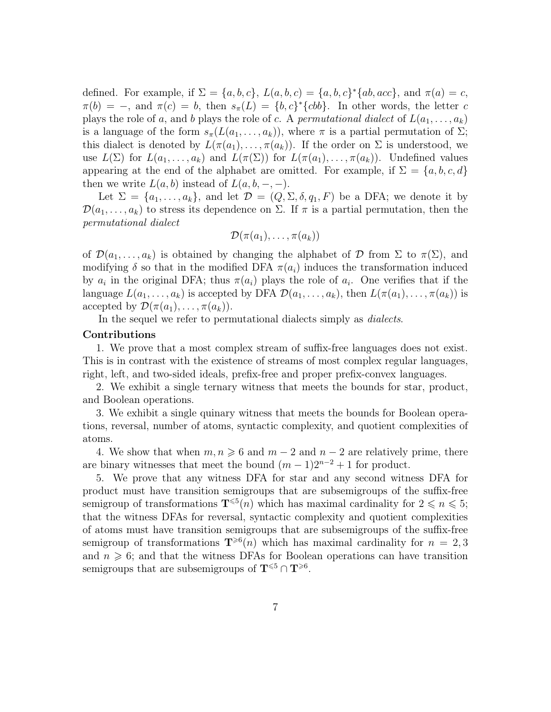defined. For example, if  $\Sigma = \{a, b, c\}$ ,  $L(a, b, c) = \{a, b, c\}^* \{ab, acc\}$ , and  $\pi(a) = c$ ,  $\pi(b) = -$ , and  $\pi(c) = b$ , then  $s_{\pi}(L) = \{b, c\}^* \{cbb\}$ . In other words, the letter c plays the role of a, and b plays the role of c. A permutational dialect of  $L(a_1, \ldots, a_k)$ is a language of the form  $s_{\pi}(L(a_1, \ldots, a_k))$ , where  $\pi$  is a partial permutation of  $\Sigma$ ; this dialect is denoted by  $L(\pi(a_1), \ldots, \pi(a_k))$ . If the order on  $\Sigma$  is understood, we use  $L(\Sigma)$  for  $L(a_1,\ldots,a_k)$  and  $L(\pi(\Sigma))$  for  $L(\pi(a_1),\ldots,\pi(a_k))$ . Undefined values appearing at the end of the alphabet are omitted. For example, if  $\Sigma = \{a, b, c, d\}$ then we write  $L(a, b)$  instead of  $L(a, b, -, -)$ .

Let  $\Sigma = \{a_1, \ldots, a_k\}$ , and let  $\mathcal{D} = (Q, \Sigma, \delta, q_1, F)$  be a DFA; we denote it by  $\mathcal{D}(a_1,\ldots,a_k)$  to stress its dependence on  $\Sigma$ . If  $\pi$  is a partial permutation, then the permutational dialect

$$
\mathcal{D}(\pi(a_1),\ldots,\pi(a_k))
$$

of  $\mathcal{D}(a_1,\ldots,a_k)$  is obtained by changing the alphabet of  $\mathcal D$  from  $\Sigma$  to  $\pi(\Sigma)$ , and modifying  $\delta$  so that in the modified DFA  $\pi(a_i)$  induces the transformation induced by  $a_i$  in the original DFA; thus  $\pi(a_i)$  plays the role of  $a_i$ . One verifies that if the language  $L(a_1, \ldots, a_k)$  is accepted by DFA  $\mathcal{D}(a_1, \ldots, a_k)$ , then  $L(\pi(a_1), \ldots, \pi(a_k))$  is accepted by  $\mathcal{D}(\pi(a_1), \ldots, \pi(a_k)).$ 

In the sequel we refer to permutational dialects simply as dialects.

#### Contributions

1. We prove that a most complex stream of suffix-free languages does not exist. This is in contrast with the existence of streams of most complex regular languages, right, left, and two-sided ideals, prefix-free and proper prefix-convex languages.

2. We exhibit a single ternary witness that meets the bounds for star, product, and Boolean operations.

3. We exhibit a single quinary witness that meets the bounds for Boolean operations, reversal, number of atoms, syntactic complexity, and quotient complexities of atoms.

4. We show that when  $m, n \geq 6$  and  $m - 2$  and  $n - 2$  are relatively prime, there are binary witnesses that meet the bound  $(m-1)2^{n-2}+1$  for product.

5. We prove that any witness DFA for star and any second witness DFA for product must have transition semigroups that are subsemigroups of the suffix-free semigroup of transformations  $\mathbf{T}^{\leqslant 5}(n)$  which has maximal cardinality for  $2 \leqslant n \leqslant 5$ ; that the witness DFAs for reversal, syntactic complexity and quotient complexities of atoms must have transition semigroups that are subsemigroups of the suffix-free semigroup of transformations  $\mathbf{T}^{\geqslant 6}(n)$  which has maximal cardinality for  $n = 2, 3$ and  $n \geq 6$ ; and that the witness DFAs for Boolean operations can have transition semigroups that are subsemigroups of  $T^{\leq 5} \cap T^{\geq 6}$ .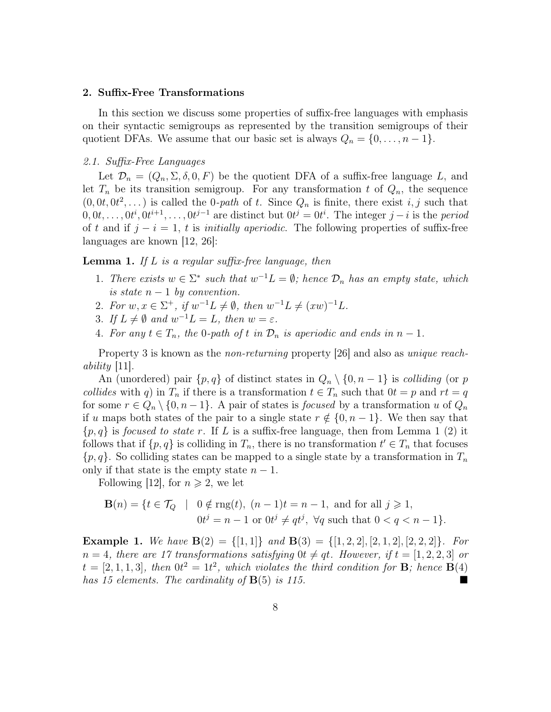#### 2. Suffix-Free Transformations

In this section we discuss some properties of suffix-free languages with emphasis on their syntactic semigroups as represented by the transition semigroups of their quotient DFAs. We assume that our basic set is always  $Q_n = \{0, \ldots, n-1\}.$ 

#### 2.1. Suffix-Free Languages

Let  $\mathcal{D}_n = (Q_n, \Sigma, \delta, 0, F)$  be the quotient DFA of a suffix-free language L, and let  $T_n$  be its transition semigroup. For any transformation t of  $Q_n$ , the sequence  $(0, 0t, 0t^2, \dots)$  is called the 0-path of t. Since  $Q_n$  is finite, there exist i, j such that  $0, 0, t, \ldots, 0$  $i^i, 0$  $i^{i+1}, \ldots, 0$  $i^{j-1}$  are distinct but  $0$  $i^j = 0$  $i^i$ . The integer  $j - i$  is the *period* of t and if  $j - i = 1$ , t is *initially aperiodic*. The following properties of suffix-free languages are known [12, 26]:

#### **Lemma 1.** If L is a regular suffix-free language, then

- 1. There exists  $w \in \Sigma^*$  such that  $w^{-1}L = \emptyset$ ; hence  $\mathcal{D}_n$  has an empty state, which is state  $n-1$  by convention.
- 2. For  $w, x \in \Sigma^+$ , if  $w^{-1}L \neq \emptyset$ , then  $w^{-1}L \neq (xw)^{-1}L$ .
- 3. If  $L \neq \emptyset$  and  $w^{-1}L = L$ , then  $w = \varepsilon$ .
- 4. For any  $t \in T_n$ , the 0-path of t in  $\mathcal{D}_n$  is aperiodic and ends in  $n-1$ .

Property 3 is known as the *non-returning* property [26] and also as *unique reach*ability [11].

An (unordered) pair  $\{p,q\}$  of distinct states in  $Q_n \setminus \{0,n-1\}$  is *colliding* (or p collides with q) in  $T_n$  if there is a transformation  $t \in T_n$  such that  $0t = p$  and  $rt = q$ for some  $r \in Q_n \setminus \{0, n-1\}$ . A pair of states is *focused* by a transformation u of  $Q_n$ if u maps both states of the pair to a single state  $r \notin \{0, n-1\}$ . We then say that  $\{p,q\}$  is *focused to state r*. If L is a suffix-free language, then from Lemma 1 (2) it follows that if  $\{p, q\}$  is colliding in  $T_n$ , there is no transformation  $t' \in T_n$  that focuses  $\{p,q\}$ . So colliding states can be mapped to a single state by a transformation in  $T_n$ only if that state is the empty state  $n-1$ .

Following [12], for  $n \geqslant 2$ , we let

$$
\mathbf{B}(n) = \{ t \in \mathcal{T}_Q \mid 0 \notin \text{rng}(t), (n-1)t = n-1, \text{ and for all } j \ge 1,
$$
  

$$
0t^j = n-1 \text{ or } 0t^j \ne qt^j, \forall q \text{ such that } 0 < q < n-1 \}.
$$

**Example 1.** We have  $B(2) = \{[1,1]\}$  and  $B(3) = \{[1,2,2], [2,1,2], [2,2,2]\}$ . For  $n = 4$ , there are 17 transformations satisfying  $0t \neq qt$ . However, if  $t = [1, 2, 2, 3]$  or  $t = [2, 1, 1, 3]$ , then  $0t^2 = 1t^2$ , which violates the third condition for **B**; hence **B**(4) has 15 elements. The cardinality of  $B(5)$  is 115.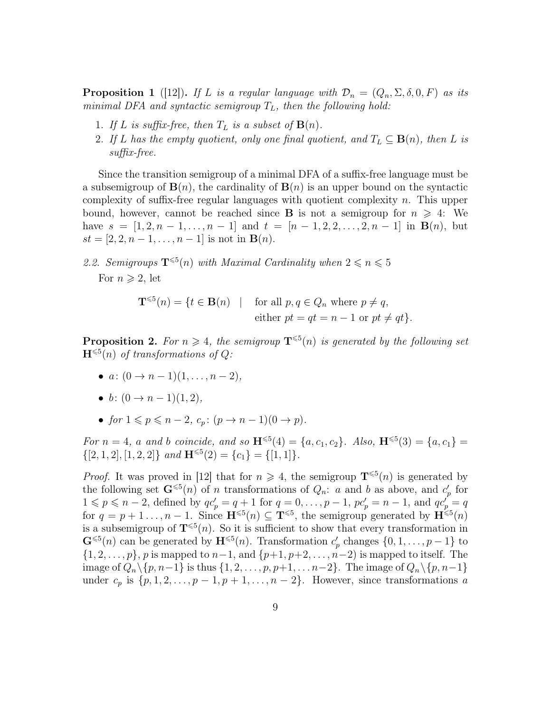**Proposition 1** ([12]). If L is a regular language with  $\mathcal{D}_n = (Q_n, \Sigma, \delta, 0, F)$  as its minimal DFA and syntactic semigroup  $T_L$ , then the following hold:

- 1. If L is suffix-free, then  $T_L$  is a subset of  $\mathbf{B}(n)$ .
- 2. If L has the empty quotient, only one final quotient, and  $T_L \subseteq \mathbf{B}(n)$ , then L is suffix-free.

Since the transition semigroup of a minimal DFA of a suffix-free language must be a subsemigroup of  $\mathbf{B}(n)$ , the cardinality of  $\mathbf{B}(n)$  is an upper bound on the syntactic complexity of suffix-free regular languages with quotient complexity  $n$ . This upper bound, however, cannot be reached since **B** is not a semigroup for  $n \geq 4$ : We have  $s = [1, 2, n - 1, \ldots, n - 1]$  and  $t = [n - 1, 2, 2, \ldots, 2, n - 1]$  in  $B(n)$ , but  $st = [2, 2, n - 1, \ldots, n - 1]$  is not in  $\mathbf{B}(n)$ .

2.2. Semigroups  $\mathbf{T}^{\leqslant 5}(n)$  with Maximal Cardinality when  $2 \leqslant n \leqslant 5$ For  $n \geqslant 2$ , let

$$
\mathbf{T}^{\leqslant 5}(n) = \{ t \in \mathbf{B}(n) \mid \text{ for all } p, q \in Q_n \text{ where } p \neq q, \text{ either } pt = qt = n - 1 \text{ or } pt \neq qt \}.
$$

**Proposition 2.** For  $n \geq 4$ , the semigroup  $\mathbf{T}^{\leq 5}(n)$  is generated by the following set  $\mathbf{H}^{\leqslant 5}(n)$  of transformations of Q:

- $a: (0 \to n-1)(1, \ldots, n-2),$
- b:  $(0 \to n-1)(1, 2)$ ,
- for  $1 \leqslant p \leqslant n-2$ ,  $c_p$ :  $(p \rightarrow n-1)(0 \rightarrow p)$ .

For  $n = 4$ , a and b coincide, and so  $\mathbf{H}^{\leqslant 5}(4) = \{a, c_1, c_2\}$ . Also,  $\mathbf{H}^{\leqslant 5}(3) = \{a, c_1\} =$  $\{[2, 1, 2], [1, 2, 2]\}$  and  $\mathbf{H}^{\leqslant 5}(2) = \{c_1\} = \{[1, 1]\}.$ 

*Proof.* It was proved in [12] that for  $n \ge 4$ , the semigroup  $\mathbf{T}^{\le 5}(n)$  is generated by the following set  $\mathbf{G}^{\leqslant 5}(n)$  of n transformations of  $Q_n$ : a and b as above, and  $c'_p$  for  $1 \leqslant p \leqslant n-2$ , defined by  $qc'_p = q+1$  for  $q = 0, \ldots, p-1$ ,  $pc'_p = n-1$ , and  $qc'_p = q$ for  $q = p + 1 \ldots, n - 1$ . Since  $\mathbf{H}^{\leqslant 5}(n) \subseteq \mathbf{T}^{\leqslant 5}$ , the semigroup generated by  $\mathbf{H}^{\leqslant 5}(n)$ is a subsemigroup of  $\mathbf{T}^{\leq 5}(n)$ . So it is sufficient to show that every transformation in  $\mathbf{G}^{\leqslant 5}(n)$  can be generated by  $\mathbf{H}^{\leqslant 5}(n)$ . Transformation  $c'_p$  changes  $\{0, 1, \ldots, p-1\}$  to  $\{1, 2, \ldots, p\}, p$  is mapped to  $n-1$ , and  $\{p+1, p+2, \ldots, n-2\}$  is mapped to itself. The image of  $Q_n \setminus \{p, n-1\}$  is thus  $\{1, 2, \ldots, p, p+1, \ldots n-2\}$ . The image of  $Q_n \setminus \{p, n-1\}$ under  $c_p$  is  $\{p, 1, 2, \ldots, p-1, p+1, \ldots, n-2\}$ . However, since transformations a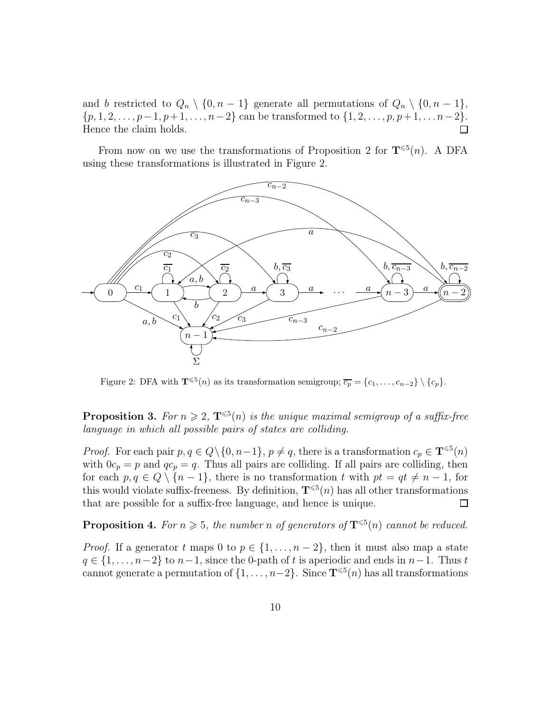and b restricted to  $Q_n \setminus \{0, n-1\}$  generate all permutations of  $Q_n \setminus \{0, n-1\}$ ,  $\{p, 1, 2, \ldots, p-1, p+1, \ldots, n-2\}$  can be transformed to  $\{1, 2, \ldots, p, p+1, \ldots n-2\}$ . Hence the claim holds. 囗

From now on we use the transformations of Proposition 2 for  $\mathbf{T}^{\leq 5}(n)$ . A DFA using these transformations is illustrated in Figure 2.



Figure 2: DFA with  $\mathbf{T}^{\leqslant 5}(n)$  as its transformation semigroup;  $\overline{c_p} = \{c_1, \ldots, c_{n-2}\} \setminus \{c_p\}.$ 

**Proposition 3.** For  $n \geq 2$ ,  $\mathbf{T}^{\leq 5}(n)$  is the unique maximal semigroup of a suffix-free language in which all possible pairs of states are colliding.

*Proof.* For each pair  $p, q \in Q \setminus \{0, n-1\}, p \neq q$ , there is a transformation  $c_p \in \mathbf{T}^{\leq 5}(n)$ with  $0c_p = p$  and  $qc_p = q$ . Thus all pairs are colliding. If all pairs are colliding, then for each  $p, q \in Q \setminus \{n-1\}$ , there is no transformation t with  $pt = qt \neq n-1$ , for this would violate suffix-freeness. By definition,  $T^{\leq 5}(n)$  has all other transformations that are possible for a suffix-free language, and hence is unique. 口

**Proposition 4.** For  $n \geq 5$ , the number n of generators of  $\mathbf{T}^{\leq 5}(n)$  cannot be reduced.

*Proof.* If a generator t maps 0 to  $p \in \{1, ..., n-2\}$ , then it must also map a state  $q \in \{1, \ldots, n-2\}$  to  $n-1$ , since the 0-path of t is aperiodic and ends in  $n-1$ . Thus t cannot generate a permutation of  $\{1, \ldots, n-2\}$ . Since  $\mathbf{T}^{\leqslant 5}(n)$  has all transformations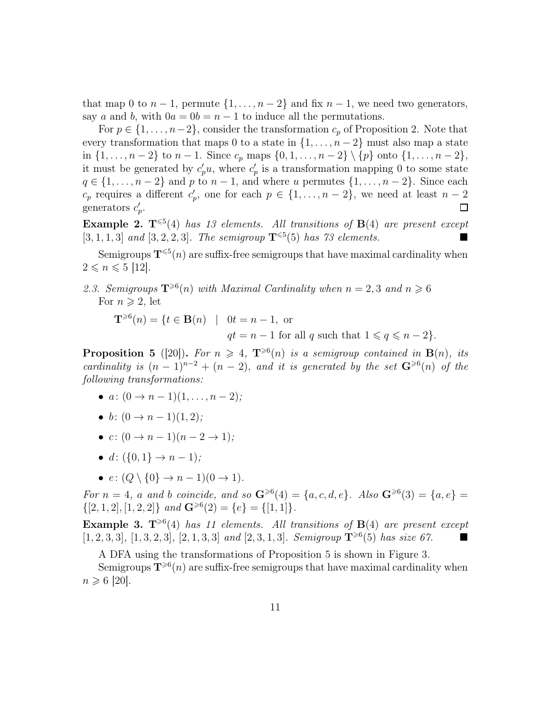that map 0 to  $n-1$ , permute  $\{1,\ldots,n-2\}$  and fix  $n-1$ , we need two generators, say a and b, with  $0a = 0b = n - 1$  to induce all the permutations.

For  $p \in \{1, \ldots, n-2\}$ , consider the transformation  $c_p$  of Proposition 2. Note that every transformation that maps 0 to a state in  $\{1, \ldots, n-2\}$  must also map a state in {1, ..., *n* − 2} to *n* − 1. Since  $c_p$  maps {0, 1, ..., *n* − 2} \ {*p*} onto {1, ..., *n* − 2}, it must be generated by  $c'_p u$ , where  $c'_p$  is a transformation mapping 0 to some state  $q \in \{1, \ldots, n-2\}$  and p to  $n-1$ , and where u permutes  $\{1, \ldots, n-2\}$ . Since each  $c_p$  requires a different  $c'_p$ , one for each  $p \in \{1, \ldots, n-2\}$ , we need at least  $n-2$ generators  $c'_p$ .  $\Box$ 

**Example 2.**  $T^{\leq 5}(4)$  has 13 elements. All transitions of  $B(4)$  are present except  $[3, 1, 1, 3]$  and  $[3, 2, 2, 3]$ . The semigroup  $\mathbf{T}^{\leq 5}(5)$  has 73 elements.

Semigroups  $\mathbf{T}^{\leqslant 5}(n)$  are suffix-free semigroups that have maximal cardinality when  $2 \leqslant n \leqslant 5$  [12].

2.3. Semigroups  $\mathbf{T}^{\geqslant 6}(n)$  with Maximal Cardinality when  $n = 2, 3$  and  $n \geqslant 6$ For  $n \geqslant 2$ , let

 $\mathbf{T}^{\geqslant 6}(n) = \{t \in \mathbf{B}(n) \mid 0t = n - 1, \text{ or }$  $qt = n - 1$  for all q such that  $1 \leq q \leq n - 2$ .

**Proposition 5** ([20]). For  $n \geq 4$ ,  $\mathbf{T}^{\geq 6}(n)$  is a semigroup contained in  $\mathbf{B}(n)$ , its cardinality is  $(n-1)^{n-2} + (n-2)$ , and it is generated by the set  $\mathbf{G}^{\geqslant 6}(n)$  of the following transformations:

- $a: (0 \to n-1)(1, \ldots, n-2);$
- b:  $(0 \to n-1)(1, 2)$ :
- $c: (0 \to n-1)(n-2 \to 1)$ :
- d:  $({0, 1} \rightarrow n-1)$ ;
- $e: (Q \setminus \{0\} \rightarrow n-1)(0 \rightarrow 1).$

For  $n = 4$ , a and b coincide, and so  $\mathbf{G}^{\geqslant 6}(4) = \{a, c, d, e\}$ . Also  $\mathbf{G}^{\geqslant 6}(3) = \{a, e\}$  $\{[2, 1, 2], [1, 2, 2]\}$  and  $\mathbf{G}^{\geq 6}(2) = \{e\} = \{[1, 1]\}.$ 

**Example 3.**  $T^{\geqslant 6}(4)$  has 11 elements. All transitions of  $B(4)$  are present except  $[1, 2, 3, 3], [1, 3, 2, 3], [2, 1, 3, 3]$  and  $[2, 3, 1, 3]$ . Semigroup  $\mathbf{T}^{\geqslant 6}(5)$  has size 67.

A DFA using the transformations of Proposition 5 is shown in Figure 3.

Semigroups  $\mathbf{T}^{\geqslant 6}(n)$  are suffix-free semigroups that have maximal cardinality when  $n \ge 6$  [20].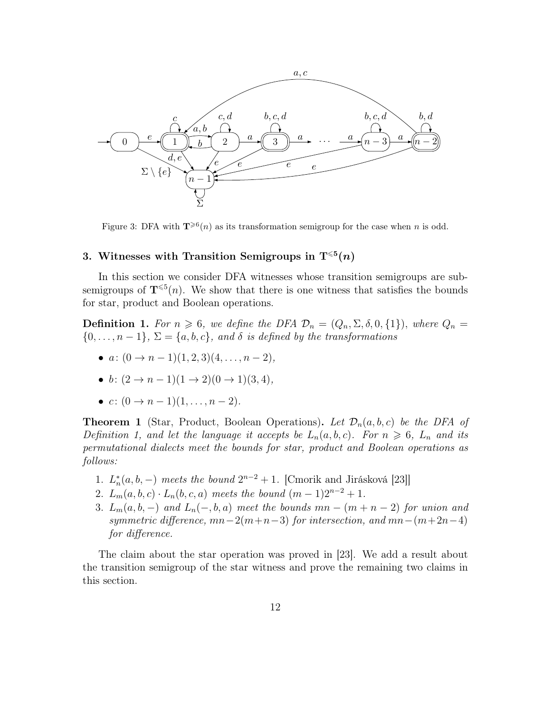

Figure 3: DFA with  $\mathbf{T}^{\geqslant 6}(n)$  as its transformation semigroup for the case when n is odd.

## 3. Witnesses with Transition Semigroups in  $T^{\leqslant 5}(n)$

In this section we consider DFA witnesses whose transition semigroups are subsemigroups of  $\mathbf{T}^{\leqslant 5}(n)$ . We show that there is one witness that satisfies the bounds for star, product and Boolean operations.

**Definition 1.** For  $n \ge 6$ , we define the DFA  $\mathcal{D}_n = (Q_n, \Sigma, \delta, 0, \{1\})$ , where  $Q_n =$  $\{0,\ldots,n-1\},\,\Sigma=\{a,b,c\},\,and\,\delta\,is\ defined\,by\,the\ transformations$ 

- $a: (0 \rightarrow n-1)(1, 2, 3)(4, \ldots, n-2),$
- b:  $(2 \rightarrow n-1)(1 \rightarrow 2)(0 \rightarrow 1)(3, 4)$ ,
- $c: (0 \to n-1)(1, \ldots, n-2)$ .

**Theorem 1** (Star, Product, Boolean Operations). Let  $\mathcal{D}_n(a, b, c)$  be the DFA of Definition 1, and let the language it accepts be  $L_n(a, b, c)$ . For  $n \geq 6$ ,  $L_n$  and its permutational dialects meet the bounds for star, product and Boolean operations as follows:

- 1.  $L_n^*(a, b, -)$  meets the bound  $2^{n-2} + 1$ . [Cmorik and Jirásková [23]]
- 2.  $L_m(a, b, c) \cdot L_n(b, c, a)$  meets the bound  $(m 1)2^{n-2} + 1$ .
- 3.  $L_m(a, b, -)$  and  $L_n(-, b, a)$  meet the bounds  $mn (m + n 2)$  for union and symmetric difference,  $mn-2(m+n-3)$  for intersection, and  $mn-(m+2n-4)$ for difference.

The claim about the star operation was proved in [23]. We add a result about the transition semigroup of the star witness and prove the remaining two claims in this section.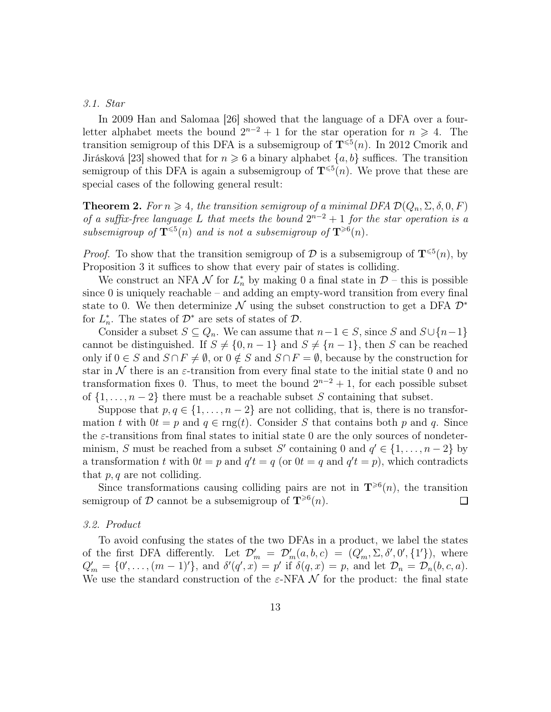## 3.1. Star

In 2009 Han and Salomaa [26] showed that the language of a DFA over a fourletter alphabet meets the bound  $2^{n-2} + 1$  for the star operation for  $n \ge 4$ . The transition semigroup of this DFA is a subsemigroup of  $\mathbf{T}^{\leqslant 5}(n)$ . In 2012 Cmorik and Jirásková [23] showed that for  $n \geq 6$  a binary alphabet  $\{a, b\}$  suffices. The transition semigroup of this DFA is again a subsemigroup of  $\mathbf{T}^{\leqslant 5}(n)$ . We prove that these are special cases of the following general result:

**Theorem 2.** For  $n \geq 4$ , the transition semigroup of a minimal DFA  $\mathcal{D}(Q_n, \Sigma, \delta, 0, F)$ of a suffix-free language L that meets the bound  $2^{n-2}+1$  for the star operation is a subsemigroup of  $\mathbf{T}^{\leqslant 5}(n)$  and is not a subsemigroup of  $\mathbf{T}^{\geqslant 6}(n)$ .

*Proof.* To show that the transition semigroup of  $\mathcal{D}$  is a subsemigroup of  $\mathbf{T}^{\leqslant 5}(n)$ , by Proposition 3 it suffices to show that every pair of states is colliding.

We construct an NFA  $\mathcal N$  for  $L_n^*$  by making 0 a final state in  $\mathcal D$  – this is possible since 0 is uniquely reachable – and adding an empty-word transition from every final state to 0. We then determinize N using the subset construction to get a DFA  $\mathcal{D}^*$ for  $L_n^*$ . The states of  $\mathcal{D}^*$  are sets of states of  $\mathcal{D}$ .

Consider a subset  $S \subseteq Q_n$ . We can assume that  $n-1 \in S$ , since S and  $S \cup \{n-1\}$ cannot be distinguished. If  $S \neq \{0, n-1\}$  and  $S \neq \{n-1\}$ , then S can be reached only if  $0 \in S$  and  $S \cap F \neq \emptyset$ , or  $0 \notin S$  and  $S \cap F = \emptyset$ , because by the construction for star in N there is an  $\varepsilon$ -transition from every final state to the initial state 0 and no transformation fixes 0. Thus, to meet the bound  $2^{n-2} + 1$ , for each possible subset of  $\{1, \ldots, n-2\}$  there must be a reachable subset S containing that subset.

Suppose that  $p, q \in \{1, ..., n-2\}$  are not colliding, that is, there is no transformation t with  $0t = p$  and  $q \in \text{rng}(t)$ . Consider S that contains both p and q. Since the  $\varepsilon$ -transitions from final states to initial state 0 are the only sources of nondeterminism, S must be reached from a subset S' containing 0 and  $q' \in \{1, \ldots, n-2\}$  by a transformation t with  $0t = p$  and  $q't = q$  (or  $0t = q$  and  $q't = p$ ), which contradicts that  $p, q$  are not colliding.

Since transformations causing colliding pairs are not in  $\mathbf{T}^{\geq 6}(n)$ , the transition semigroup of  $\mathcal D$  cannot be a subsemigroup of  $\mathbf T^{\geqslant 6}(n)$ . □

#### 3.2. Product

To avoid confusing the states of the two DFAs in a product, we label the states of the first DFA differently. Let  $\mathcal{D}'_m = \mathcal{D}'_m(a, b, c) = (Q'_m, \Sigma, \delta', 0', \{1'\}),$  where  $Q'_m = \{0', \ldots, (m-1)'\},\$ and  $\delta'(q', x) = p'$  if  $\delta(q, x) = p$ , and let  $\mathcal{D}_n = \mathcal{D}_n(b, c, a)$ . We use the standard construction of the  $\varepsilon$ -NFA  $\mathcal N$  for the product: the final state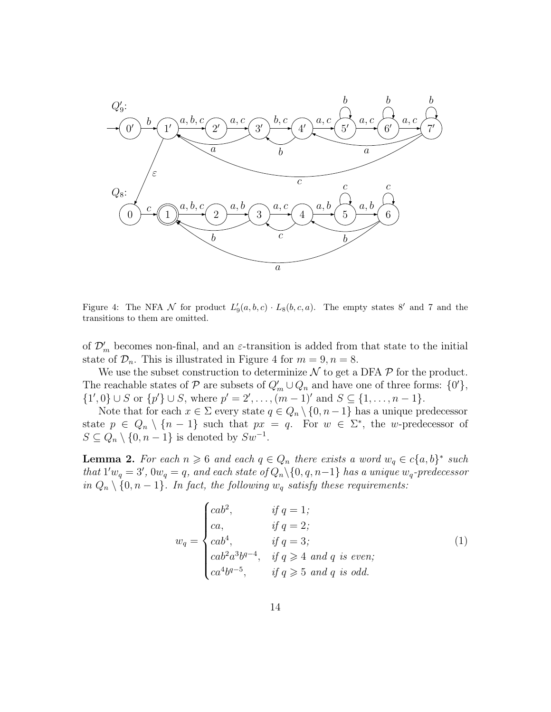

Figure 4: The NFA N for product  $L_9'(a, b, c) \cdot L_8(b, c, a)$ . The empty states 8' and 7 and the transitions to them are omitted.

of  $\mathcal{D}'_m$  becomes non-final, and an  $\varepsilon$ -transition is added from that state to the initial state of  $\mathcal{D}_n$ . This is illustrated in Figure 4 for  $m = 9, n = 8$ .

We use the subset construction to determinize  $\mathcal N$  to get a DFA  $\mathcal P$  for the product. The reachable states of  $P$  are subsets of  $Q'_m \cup Q_n$  and have one of three forms:  $\{0'\}$ ,  $\{1',0\} \cup S$  or  $\{p'\} \cup S$ , where  $p' = 2', \ldots, (m-1)'$  and  $S \subseteq \{1, \ldots, n-1\}.$ 

Note that for each  $x \in \Sigma$  every state  $q \in Q_n \setminus \{0, n-1\}$  has a unique predecessor state  $p \in Q_n \setminus \{n-1\}$  such that  $px = q$ . For  $w \in \Sigma^*$ , the w-predecessor of  $S \subseteq Q_n \setminus \{0, n-1\}$  is denoted by  $Sw^{-1}$ .

**Lemma 2.** For each  $n \geq 6$  and each  $q \in Q_n$  there exists a word  $w_q \in c\{a, b\}^*$  such that  $1'w_q = 3'$ ,  $0w_q = q$ , and each state of  $Q_n \setminus \{0, q, n-1\}$  has a unique  $w_q$ -predecessor in  $Q_n \setminus \{0, n-1\}$ . In fact, the following  $w_q$  satisfy these requirements:

$$
w_q = \begin{cases} cab^2, & \text{if } q = 1; \\ ca, & \text{if } q = 2; \\ cab^4, & \text{if } q = 3; \\ cab^2a^3b^{q-4}, & \text{if } q \ge 4 \text{ and } q \text{ is even}; \\ ca^4b^{q-5}, & \text{if } q \ge 5 \text{ and } q \text{ is odd}. \end{cases}
$$
(1)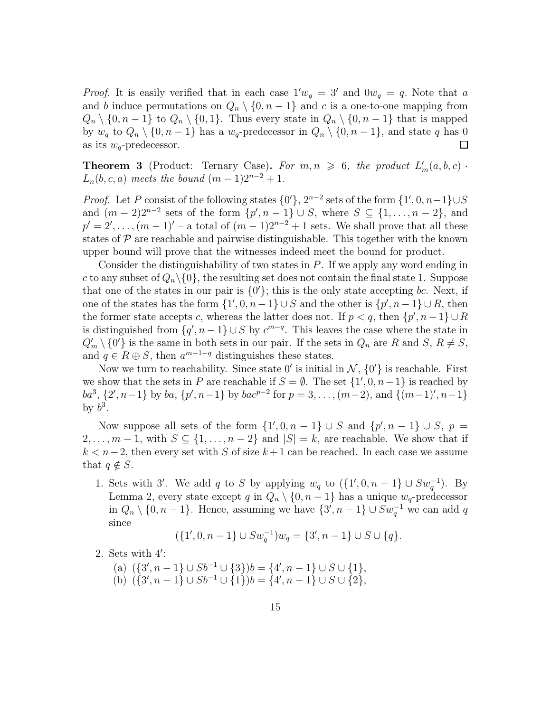*Proof.* It is easily verified that in each case  $1'w_q = 3'$  and  $0w_q = q$ . Note that a and b induce permutations on  $Q_n \setminus \{0, n-1\}$  and c is a one-to-one mapping from  $Q_n \setminus \{0, n-1\}$  to  $Q_n \setminus \{0, 1\}$ . Thus every state in  $Q_n \setminus \{0, n-1\}$  that is mapped by  $w_q$  to  $Q_n \setminus \{0, n-1\}$  has a  $w_q$ -predecessor in  $Q_n \setminus \{0, n-1\}$ , and state q has 0 as its  $w_q$ -predecessor.  $\mathbf{I}$ 

**Theorem 3** (Product: Ternary Case). For  $m, n \ge 6$ , the product  $L'_m(a, b, c)$ .  $L_n(b, c, a)$  meets the bound  $(m - 1)2^{n-2} + 1$ .

*Proof.* Let P consist of the following states  $\{0\}$ ,  $2^{n-2}$  sets of the form  $\{1', 0, n-1\} \cup S$ and  $(m-2)2^{n-2}$  sets of the form  $\{p', n-1\} \cup S$ , where  $S \subseteq \{1, ..., n-2\}$ , and  $p' = 2', \ldots, (m-1)'$  – a total of  $(m-1)2^{n-2}+1$  sets. We shall prove that all these states of  $\mathcal P$  are reachable and pairwise distinguishable. This together with the known upper bound will prove that the witnesses indeed meet the bound for product.

Consider the distinguishability of two states in  $P$ . If we apply any word ending in c to any subset of  $Q_n \setminus \{0\}$ , the resulting set does not contain the final state 1. Suppose that one of the states in our pair is  $\{0'\}$ ; this is the only state accepting bc. Next, if one of the states has the form  $\{1', 0, n-1\} \cup S$  and the other is  $\{p', n-1\} \cup R$ , then the former state accepts c, whereas the latter does not. If  $p < q$ , then  $\{p', n-1\} \cup R$ is distinguished from  $\{q', n-1\} \cup S$  by  $c^{m-q}$ . This leaves the case where the state in  $Q'_m \setminus \{0\}$  is the same in both sets in our pair. If the sets in  $Q_n$  are R and S,  $R \neq S$ , and  $q \in R \oplus S$ , then  $a^{m-1-q}$  distinguishes these states.

Now we turn to reachability. Since state  $0'$  is initial in  $\mathcal{N}, \{0'\}$  is reachable. First we show that the sets in P are reachable if  $S = \emptyset$ . The set  $\{1', 0, n-1\}$  is reached by  $ba^3$ ,  $\{2', n-1\}$  by  $ba$ ,  $\{p', n-1\}$  by  $bac^{p-2}$  for  $p = 3, ..., (m-2)$ , and  $\{(m-1)', n-1\}$ by  $b^3$ .

Now suppose all sets of the form  $\{1', 0, n-1\} \cup S$  and  $\{p', n-1\} \cup S$ ,  $p =$  $2, \ldots, m-1$ , with  $S \subseteq \{1, \ldots, n-2\}$  and  $|S| = k$ , are reachable. We show that if  $k < n-2$ , then every set with S of size  $k+1$  can be reached. In each case we assume that  $q \notin S$ .

1. Sets with 3'. We add q to S by applying  $w_q$  to  $(\{1',0,n-1\} \cup Sw_q^{-1})$ . By Lemma 2, every state except q in  $Q_n \setminus \{0, n-1\}$  has a unique  $w_q$ -predecessor in  $Q_n \setminus \{0, n-1\}$ . Hence, assuming we have  $\{3', n-1\} \cup Sw_q^{-1}$  we can add q since

$$
(\{1',0,n-1\} \cup Sw_q^{-1})w_q = \{3',n-1\} \cup S \cup \{q\}.
$$

2. Sets with 4 ′ :

(a)  $({3\choose 7}, n-1] \cup Sb^{-1} \cup {3}$ ) $b = {4\choose 7}, n-1] \cup S \cup {1}$ , (b)  $({3\choose 7}, n-1] \cup Sb^{-1} \cup {1}$ ) $b = {4\choose 7}, n-1] \cup S \cup {2}$ ,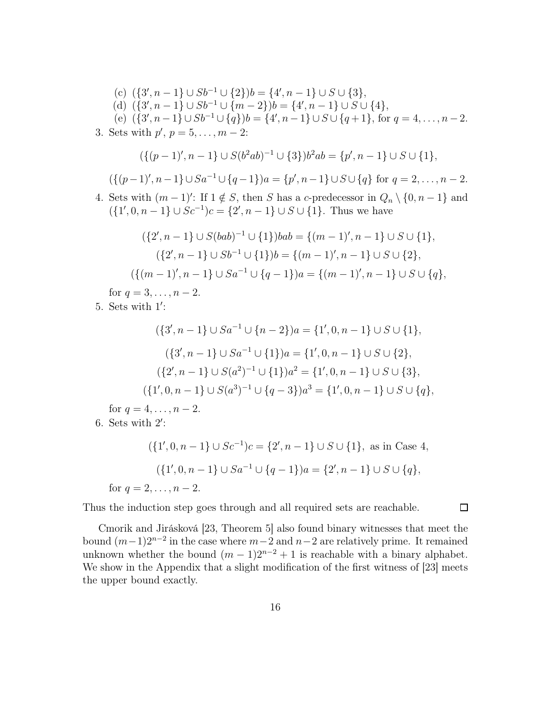(c) 
$$
\{\{3', n-1\} \cup Sb^{-1} \cup \{2\}\}\) = \{4', n-1\} \cup S \cup \{3\},
$$
  
\n(d)  $\{\{3', n-1\} \cup Sb^{-1} \cup \{m-2\}\}\) = \{4', n-1\} \cup S \cup \{4\},$   
\n(e)  $\{\{3', n-1\} \cup Sb^{-1} \cup \{q\}\}\) = \{4', n-1\} \cup S \cup \{q+1\},$  for  $q = 4, ..., n-2$ .  
\n3. Sets with  $p', p = 5, ..., m-2$ :  
\n $\{\{(p-1)', n-1\} \cup S(b^2ab)^{-1} \cup \{3\}\}b^2ab = \{p', n-1\} \cup S \cup \{1\},$   
\n $\{\{(p-1)', n-1\} \cup Sa^{-1} \cup \{q-1\}\}a = \{p', n-1\} \cup S \cup \{q\}$  for  $q = 2, ..., n-2$ .  
\n4. Sets with  $(m-1)'$ : If  $1 \notin S$ , then  $S$  has a  $c$ -predecessor in  $Q_n \setminus \{0, n-1\}$  and  
\n $\{\{1', 0, n-1\} \cup Sc^{-1}\}c = \{2', n-1\} \cup S \cup \{1\}$ . Thus we have  
\n $\{\{2', n-1\} \cup S(bab)^{-1} \cup \{1\}\}bab = \{(m-1)', n-1\} \cup S \cup \{1\},$   
\n $\{\{2', n-1\} \cup Sb^{-1} \cup \{1\}\}bb{B} = \{(m-1)', n-1\} \cup S \cup \{2\},$ 

$$
(\{(m-1)', n-1\} \cup Sa^{-1} \cup \{q-1\})a = \{(m-1)', n-1\} \cup S \cup \{q\},\
$$

for  $q = 3, \ldots, n - 2$ .

5. Sets with 1 ′ :

$$
(\{3', n-1\} \cup Sa^{-1} \cup \{n-2\})a = \{1', 0, n-1\} \cup S \cup \{1\},\
$$

$$
(\{3', n-1\} \cup Sa^{-1} \cup \{1\})a = \{1', 0, n-1\} \cup S \cup \{2\},\
$$

$$
(\{2', n-1\} \cup S(a^2)^{-1} \cup \{1\})a^2 = \{1', 0, n-1\} \cup S \cup \{3\},\
$$

$$
(\{1', 0, n-1\} \cup S(a^3)^{-1} \cup \{q-3\})a^3 = \{1', 0, n-1\} \cup S \cup \{q\},
$$

for  $q = 4, ..., n - 2$ .

6. Sets with  $2'$ :

$$
(\{1', 0, n-1\} \cup Sc^{-1})c = \{2', n-1\} \cup S \cup \{1\}, \text{ as in Case 4,}
$$

$$
(\{1', 0, n-1\} \cup Sa^{-1} \cup \{q-1\})a = \{2', n-1\} \cup S \cup \{q\},
$$
for  $q = 2, ..., n-2$ .

Thus the induction step goes through and all required sets are reachable.

Cmorik and Jirásková [23, Theorem 5] also found binary witnesses that meet the bound  $(m-1)2^{n-2}$  in the case where  $m-2$  and  $n-2$  are relatively prime. It remained unknown whether the bound  $(m - 1)2^{n-2} + 1$  is reachable with a binary alphabet. We show in the Appendix that a slight modification of the first witness of [23] meets the upper bound exactly.

 $\Box$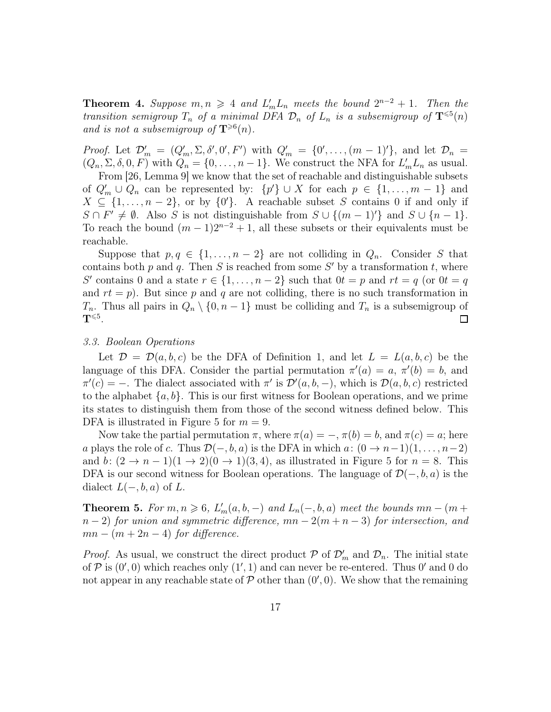**Theorem 4.** Suppose  $m, n \geq 4$  and  $L'_m L_n$  meets the bound  $2^{n-2} + 1$ . Then the transition semigroup  $T_n$  of a minimal DFA  $\mathcal{D}_n$  of  $L_n$  is a subsemigroup of  $\mathbf{T}^{\leqslant 5}(n)$ and is not a subsemigroup of  $\mathbf{T}^{\geqslant 6}(n)$ .

*Proof.* Let  $\mathcal{D}'_m = (Q'_m, \Sigma, \delta', 0', F')$  with  $Q'_m = \{0', \ldots, (m-1)'\}$ , and let  $\mathcal{D}_n =$  $(Q_n, \Sigma, \delta, 0, F)$  with  $Q_n = \{0, \ldots, n-1\}$ . We construct the NFA for  $L'_m L_n$  as usual.

From [26, Lemma 9] we know that the set of reachable and distinguishable subsets of  $Q'_m \cup Q_n$  can be represented by:  $\{p'\} \cup X$  for each  $p \in \{1, ..., m-1\}$  and  $X \subseteq \{1, \ldots, n-2\}$ , or by  $\{0'\}$ . A reachable subset S contains 0 if and only if  $S \cap F' \neq \emptyset$ . Also S is not distinguishable from  $S \cup \{(m-1)'\}$  and  $S \cup \{n-1\}$ . To reach the bound  $(m-1)2^{n-2}+1$ , all these subsets or their equivalents must be reachable.

Suppose that  $p, q \in \{1, \ldots, n-2\}$  are not colliding in  $Q_n$ . Consider S that contains both  $p$  and  $q$ . Then  $S$  is reached from some  $S'$  by a transformation  $t$ , where S' contains 0 and a state  $r \in \{1, ..., n-2\}$  such that  $0t = p$  and  $rt = q$  (or  $0t = q$ ) and  $rt = p$ ). But since p and q are not colliding, there is no such transformation in  $T_n$ . Thus all pairs in  $Q_n \setminus \{0, n-1\}$  must be colliding and  $T_n$  is a subsemigroup of  $\mathrm{T}^{\leqslant 5}.$  $\Box$ 

#### 3.3. Boolean Operations

Let  $\mathcal{D} = \mathcal{D}(a, b, c)$  be the DFA of Definition 1, and let  $L = L(a, b, c)$  be the language of this DFA. Consider the partial permutation  $\pi'(a) = a, \pi'(b) = b$ , and  $\pi'(c) = -$ . The dialect associated with  $\pi'$  is  $\mathcal{D}'(a, b, -)$ , which is  $\mathcal{D}(a, b, c)$  restricted to the alphabet  $\{a, b\}$ . This is our first witness for Boolean operations, and we prime its states to distinguish them from those of the second witness defined below. This DFA is illustrated in Figure 5 for  $m = 9$ .

Now take the partial permutation  $\pi$ , where  $\pi(a) = -$ ,  $\pi(b) = b$ , and  $\pi(c) = a$ ; here a plays the role of c. Thus  $\mathcal{D}(-, b, a)$  is the DFA in which  $a: (0 \to n-1)(1, \ldots, n-2)$ and b:  $(2 \rightarrow n-1)(1 \rightarrow 2)(0 \rightarrow 1)(3, 4)$ , as illustrated in Figure 5 for  $n = 8$ . This DFA is our second witness for Boolean operations. The language of  $\mathcal{D}(-,b,a)$  is the dialect  $L(-, b, a)$  of L.

**Theorem 5.** For  $m, n \ge 6$ ,  $L'_m(a, b, -)$  and  $L_n(-, b, a)$  meet the bounds  $mn - (m + b)$  $n-2$ ) for union and symmetric difference,  $mn-2(m+n-3)$  for intersection, and  $mn - (m + 2n - 4)$  for difference.

*Proof.* As usual, we construct the direct product  $P$  of  $\mathcal{D}'_m$  and  $\mathcal{D}_n$ . The initial state of  $P$  is  $(0', 0)$  which reaches only  $(1', 1)$  and can never be re-entered. Thus  $0'$  and 0 do not appear in any reachable state of  $P$  other than  $(0', 0)$ . We show that the remaining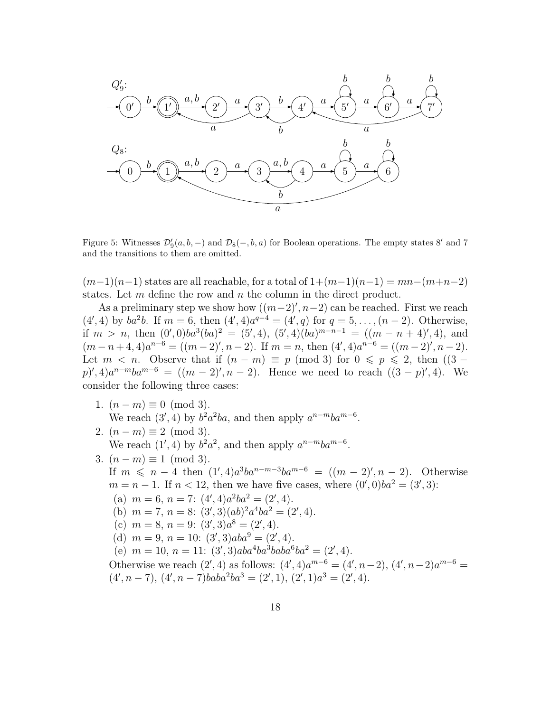

Figure 5: Witnesses  $\mathcal{D}'_9(a, b, -)$  and  $\mathcal{D}_8(-, b, a)$  for Boolean operations. The empty states 8' and 7 and the transitions to them are omitted.

 $(m-1)(n-1)$  states are all reachable, for a total of  $1+(m-1)(n-1) = mn-(m+n-2)$ states. Let  $m$  define the row and  $n$  the column in the direct product.

As a preliminary step we show how  $((m-2)$ ',  $n-2)$  can be reached. First we reach  $(4', 4)$  by  $ba^2b$ . If  $m = 6$ , then  $(4', 4)a^{q-4} = (4', q)$  for  $q = 5, ..., (n-2)$ . Otherwise, if  $m > n$ , then  $(0',0)ba^3(ba)^2 = (5',4)$ ,  $(5',4)(ba)^{m-n-1} = ((m-n+4)',4)$ , and  $(m-n+4,4)a^{n-6} = ((m-2)'',n-2)$ . If  $m = n$ , then  $(4',4)a^{n-6} = ((m-2)'',n-2)$ . Let  $m < n$ . Observe that if  $(n - m) \equiv p \pmod{3}$  for  $0 \leq p \leq 2$ , then  $((3 - m) \equiv p \pmod{3})$  $(p)$ ', 4) $a^{n-m}ba^{m-6} = ((m-2)$ ',  $n-2)$ . Hence we need to reach  $((3-p)$ ', 4). We consider the following three cases:

- 1.  $(n m) \equiv 0 \pmod{3}$ . We reach  $(3', 4)$  by  $b^2 a^2 ba$ , and then apply  $a^{n-m}ba^{m-6}$ .
- 2.  $(n-m) \equiv 2 \pmod{3}$ . We reach  $(1', 4)$  by  $b^2 a^2$ , and then apply  $a^{n-m}ba^{m-6}$ .
- 3.  $(n-m) \equiv 1 \pmod{3}$ .
	- If  $m \leq n-4$  then  $(1', 4)a^3ba^{n-m-3}ba^{m-6} = ((m-2)', n-2)$ . Otherwise  $m = n - 1$ . If  $n < 12$ , then we have five cases, where  $(0', 0)ba^2 = (3', 3)$ : (a)  $m = 6$ ,  $n = 7$ :  $(4', 4)a^2ba^2 = (2', 4)$ . (b)  $m = 7$ ,  $n = 8$ :  $(3', 3)(ab)^2 a^4 ba^2 = (2', 4)$ . (c)  $m = 8, n = 9$ :  $(3', 3)a^8 = (2', 4)$ . (d)  $m = 9$ ,  $n = 10$ :  $(3', 3)aba^9 = (2', 4)$ . (e)  $m = 10$ ,  $n = 11$ :  $(3', 3)aba^4ba^3baba^6ba^2 = (2', 4)$ . Otherwise we reach  $(2', 4)$  as follows:  $(4', 4)a^{m-6} = (4', n-2), (4', n-2)a^{m-6} =$

 $(4', n-7), (4', n-7)baba^2ba^3 = (2', 1), (2', 1)a^3 = (2', 4).$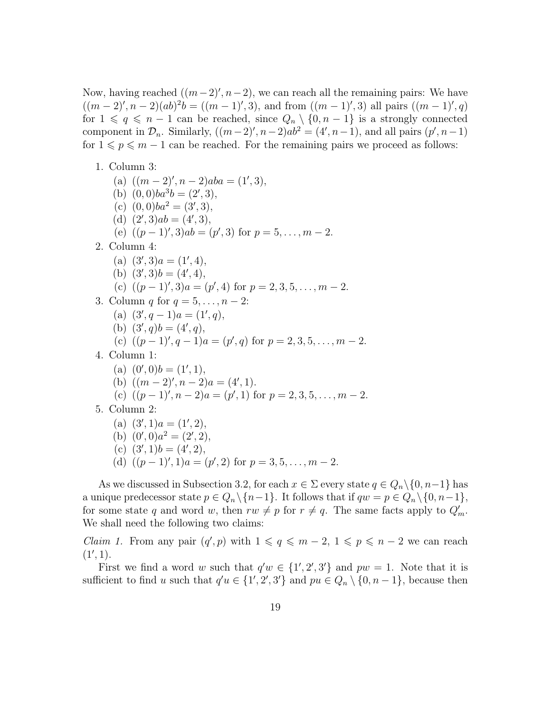Now, having reached  $((m-2)$ ',  $n-2)$ , we can reach all the remaining pairs: We have  $((m-2)'$ ,  $n-2)(ab)^2b = ((m-1)'$ , 3), and from  $((m-1)'$ , 3) all pairs  $((m-1)'$ , q) for  $1 \leq q \leq n-1$  can be reached, since  $Q_n \setminus \{0, n-1\}$  is a strongly connected component in  $\mathcal{D}_n$ . Similarly,  $((m-2)'$ ,  $n-2)ab^2 = (4', n-1)$ , and all pairs  $(p', n-1)$ for  $1 \leqslant p \leqslant m - 1$  can be reached. For the remaining pairs we proceed as follows:

1. Column 3:

(a)  $((m-2)^\prime, n-2)aba = (1^\prime, 3),$ (b)  $(0, 0)ba^3b = (2', 3),$ (c)  $(0, 0)ba^2 = (3', 3),$ (d)  $(2', 3)ab = (4', 3),$ (e)  $((p-1)', 3)ab = (p', 3)$  for  $p = 5, ..., m-2$ . 2. Column 4: (a)  $(3', 3)a = (1', 4),$ (b)  $(3', 3)b = (4', 4),$ (c)  $((p-1)^\prime, 3)a = (p^\prime, 4)$  for  $p = 2, 3, 5, \ldots, m-2$ . 3. Column q for  $q = 5, \ldots, n-2$ : (a)  $(3', q - 1)a = (1', q),$ (b)  $(3', q)b = (4', q),$ (c)  $((p-1)^\prime, q-1)a = (p^\prime, q)$  for  $p = 2, 3, 5, \ldots, m-2$ . 4. Column 1: (a)  $(0',0)b = (1',1),$ (b)  $((m-2)', n-2)a = (4', 1).$ (c)  $((p-1)', n-2)a = (p', 1)$  for  $p = 2, 3, 5, ..., m-2$ . 5. Column 2: (a)  $(3', 1)a = (1', 2),$ (b)  $(0', 0)a^2 = (2', 2),$ (c)  $(3', 1)b = (4', 2),$ (d)  $((p-1)', 1)a = (p', 2)$  for  $p = 3, 5, ..., m - 2$ .

As we discussed in Subsection 3.2, for each  $x \in \Sigma$  every state  $q \in Q_n \setminus \{0, n-1\}$  has a unique predecessor state  $p \in Q_n \setminus \{n-1\}$ . It follows that if  $qw = p \in Q_n \setminus \{0, n-1\}$ , for some state q and word w, then  $rw \neq p$  for  $r \neq q$ . The same facts apply to  $Q'_m$ . We shall need the following two claims:

*Claim 1.* From any pair  $(q', p)$  with  $1 \leq q \leq m-2$ ,  $1 \leq p \leq n-2$  we can reach  $(1', 1).$ 

First we find a word w such that  $q'w \in \{1', 2', 3'\}$  and  $pw = 1$ . Note that it is sufficient to find u such that  $q'u \in \{1', 2', 3'\}$  and  $pu \in Q_n \setminus \{0, n-1\}$ , because then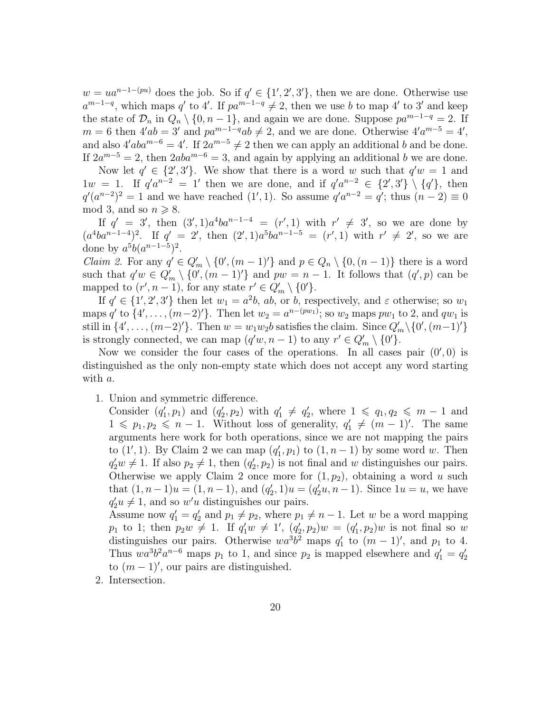$w = ua^{n-1-(pu)}$  does the job. So if  $q' \in \{1', 2', 3'\}$ , then we are done. Otherwise use  $a^{m-1-q}$ , which maps q' to 4'. If  $pa^{m-1-q} \neq 2$ , then we use b to map 4' to 3' and keep the state of  $\mathcal{D}_n$  in  $Q_n \setminus \{0, n-1\}$ , and again we are done. Suppose  $pa^{m-1-q} = 2$ . If  $m = 6$  then  $4'ab = 3'$  and  $pa^{m-1-q}ab \neq 2$ , and we are done. Otherwise  $4'a^{m-5} = 4'$ , and also  $4'aba^{m-6} = 4'$ . If  $2a^{m-5} \neq 2$  then we can apply an additional b and be done. If  $2a^{m-5} = 2$ , then  $2aba^{m-6} = 3$ , and again by applying an additional b we are done.

Now let  $q' \in \{2', 3'\}$ . We show that there is a word w such that  $q'w = 1$  and  $1w = 1$ . If  $q'^{a^{n-2}} = 1'$  then we are done, and if  $q'^{a^{n-2}} \in \{2', 3'\} \setminus \{q'\}$ , then  $q'(a^{n-2})^2 = 1$  and we have reached  $(1', 1)$ . So assume  $q' a^{n-2} = q'$ ; thus  $(n-2) \equiv 0$ mod 3, and so  $n \geq 8$ .

If  $q' = 3'$ , then  $(3', 1)a^4ba^{n-1-4} = (r', 1)$  with  $r' \neq 3'$ , so we are done by  $(a^4ba^{n-1-4})^2$ . If  $q' = 2'$ , then  $(2', 1)a^5ba^{n-1-5} = (r', 1)$  with  $r' \neq 2'$ , so we are done by  $a^5b(a^{n-1-5})^2$ .

*Claim 2.* For any  $q' \in Q'_m \setminus \{0', (m-1)'\}$  and  $p \in Q_n \setminus \{0, (n-1)\}\$  there is a word such that  $q'w \in Q'_m \setminus \{0', (m-1)'\}$  and  $pw = n-1$ . It follows that  $(q', p)$  can be mapped to  $(r', n-1)$ , for any state  $r' \in Q'_m \setminus \{0'\}.$ 

If  $q' \in \{1', 2', 3'\}$  then let  $w_1 = a^2b$ , ab, or b, respectively, and  $\varepsilon$  otherwise; so  $w_1$ maps q' to  $\{4', \ldots, (m-2)'\}$ . Then let  $w_2 = a^{n-(pw_1)}$ ; so  $w_2$  maps  $pw_1$  to 2, and  $qw_1$  is still in  $\{4', \ldots, (m-2)'\}$ . Then  $w = w_1w_2b$  satisfies the claim. Since  $Q'_m \setminus \{0', (m-1)'\}$ is strongly connected, we can map  $(q'w, n-1)$  to any  $r' \in Q'_m \setminus \{0'\}.$ 

Now we consider the four cases of the operations. In all cases pair  $(0',0)$  is distinguished as the only non-empty state which does not accept any word starting with a.

1. Union and symmetric difference.

Consider  $(q'_1, p_1)$  and  $(q'_2, p_2)$  with  $q'_1 \neq q'_2$ , where  $1 \leq q_1, q_2 \leq m-1$  and  $1 \leqslant p_1, p_2 \leqslant n-1$ . Without loss of generality,  $q'_1 \neq (m-1)'$ . The same arguments here work for both operations, since we are not mapping the pairs to  $(1', 1)$ . By Claim 2 we can map  $(q'_1, p_1)$  to  $(1, n-1)$  by some word w. Then  $q'_2w \neq 1$ . If also  $p_2 \neq 1$ , then  $(q'_2, p_2)$  is not final and w distinguishes our pairs. Otherwise we apply Claim 2 once more for  $(1, p_2)$ , obtaining a word u such that  $(1, n-1)u = (1, n-1)$ , and  $(q'_2, 1)u = (q'_2u, n-1)$ . Since  $1u = u$ , we have  $q'_2u \neq 1$ , and so  $w'u$  distinguishes our pairs.

Assume now  $q'_1 = q'_2$  and  $p_1 \neq p_2$ , where  $p_1 \neq n-1$ . Let w be a word mapping  $p_1$  to 1; then  $p_2w \neq 1$ . If  $q'_1w \neq 1'$ ,  $(q'_2, p_2)w = (q'_1, p_2)w$  is not final so w distinguishes our pairs. Otherwise  $wa^3b^2$  maps  $q'_1$  to  $(m-1)'$ , and  $p_1$  to 4. Thus  $wa^3b^2a^{n-6}$  maps  $p_1$  to 1, and since  $p_2$  is mapped elsewhere and  $q'_1 = q'_2$ to  $(m-1)$ ', our pairs are distinguished.

2. Intersection.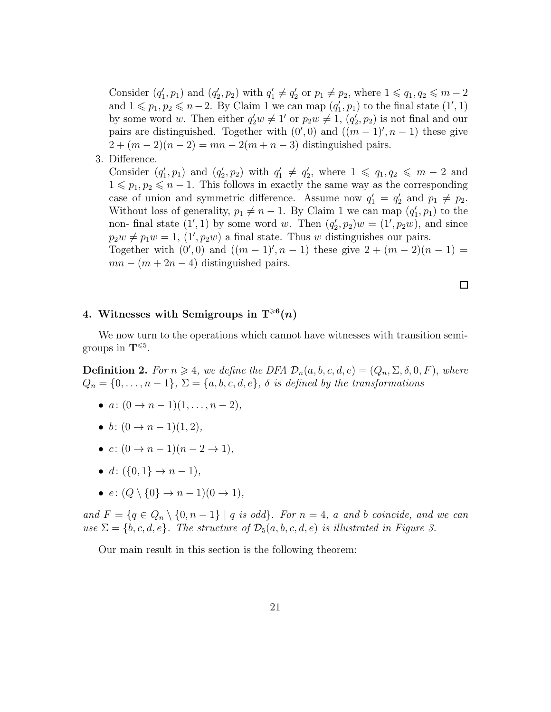Consider  $(q'_1, p_1)$  and  $(q'_2, p_2)$  with  $q'_1 \neq q'_2$  or  $p_1 \neq p_2$ , where  $1 \leq q_1, q_2 \leq m-2$ and  $1 \leq p_1, p_2 \leq n-2$ . By Claim 1 we can map  $(q'_1, p_1)$  to the final state  $(1', 1)$ by some word w. Then either  $q'_2w \neq 1'$  or  $p_2w \neq 1$ ,  $(q'_2, p_2)$  is not final and our pairs are distinguished. Together with  $(0', 0)$  and  $((m - 1)', n - 1)$  these give  $2 + (m-2)(n-2) = mn - 2(m+n-3)$  distinguished pairs.

3. Difference.

Consider  $(q'_1, p_1)$  and  $(q'_2, p_2)$  with  $q'_1 \neq q'_2$ , where  $1 \leq q_1, q_2 \leq m-2$  and  $1 \leqslant p_1, p_2 \leqslant n - 1$ . This follows in exactly the same way as the corresponding case of union and symmetric difference. Assume now  $q'_1 = q'_2$  and  $p_1 \neq p_2$ . Without loss of generality,  $p_1 \neq n - 1$ . By Claim 1 we can map  $(q'_1, p_1)$  to the non- final state  $(1', 1)$  by some word w. Then  $(q'_2, p_2)w = (1', p_2w)$ , and since  $p_2w \neq p_1w = 1$ ,  $(1', p_2w)$  a final state. Thus w distinguishes our pairs. Together with  $(0',0)$  and  $((m-1)',n-1)$  these give  $2 + (m-2)(n-1) =$  $mn - (m + 2n - 4)$  distinguished pairs.

 $\Box$ 

## 4. Witnesses with Semigroups in  $T^{\geqslant 6}(n)$

We now turn to the operations which cannot have witnesses with transition semigroups in  $\mathbf{T}^{\leqslant 5}$ .

**Definition 2.** For  $n \geq 4$ , we define the DFA  $\mathcal{D}_n(a, b, c, d, e) = (Q_n, \Sigma, \delta, 0, F)$ , where  $Q_n = \{0, \ldots, n-1\}, \Sigma = \{a, b, c, d, e\}, \delta$  is defined by the transformations

- $a: (0 \to n-1)(1, \ldots, n-2),$
- b:  $(0 \rightarrow n 1)(1, 2)$ ,
- $c: (0 \to n-1)(n-2 \to 1),$
- $d: (\{0,1\} \to n-1),$
- $e: (Q \setminus \{0\} \rightarrow n-1)(0 \rightarrow 1),$

and  $F = \{q \in Q_n \setminus \{0, n-1\} \mid q \text{ is odd}\}\$ . For  $n = 4$ , a and b coincide, and we can use  $\Sigma = \{b, c, d, e\}$ . The structure of  $\mathcal{D}_5(a, b, c, d, e)$  is illustrated in Figure 3.

Our main result in this section is the following theorem: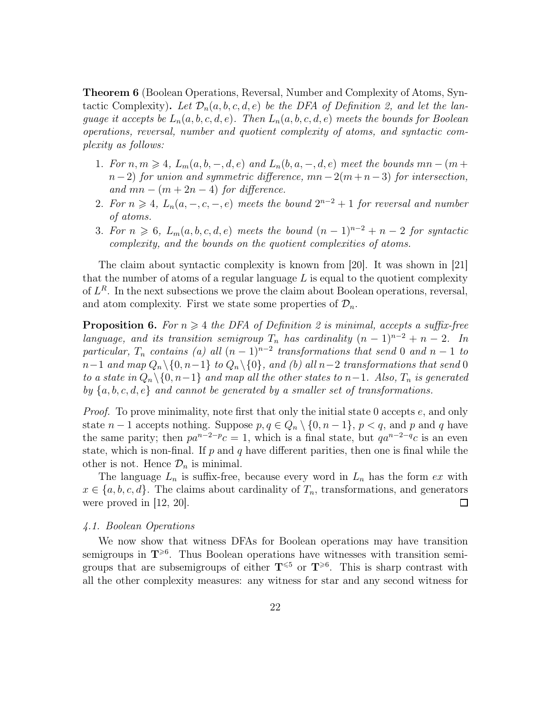Theorem 6 (Boolean Operations, Reversal, Number and Complexity of Atoms, Syntactic Complexity). Let  $\mathcal{D}_n(a, b, c, d, e)$  be the DFA of Definition 2, and let the language it accepts be  $L_n(a, b, c, d, e)$ . Then  $L_n(a, b, c, d, e)$  meets the bounds for Boolean operations, reversal, number and quotient complexity of atoms, and syntactic complexity as follows:

- 1. For  $n, m \geq 4$ ,  $L_m(a, b, -, d, e)$  and  $L_n(b, a, -, d, e)$  meet the bounds  $mn (m +$  $n-2$ ) for union and symmetric difference,  $mn-2(m+n-3)$  for intersection, and  $mn - (m + 2n - 4)$  for difference.
- 2. For  $n \geq 4$ ,  $L_n(a, -, c, -, e)$  meets the bound  $2^{n-2} + 1$  for reversal and number of atoms.
- 3. For  $n \geq 6$ ,  $L_m(a, b, c, d, e)$  meets the bound  $(n 1)^{n-2} + n 2$  for syntactic complexity, and the bounds on the quotient complexities of atoms.

The claim about syntactic complexity is known from [20]. It was shown in [21] that the number of atoms of a regular language  $L$  is equal to the quotient complexity of  $L^R$ . In the next subsections we prove the claim about Boolean operations, reversal, and atom complexity. First we state some properties of  $\mathcal{D}_n$ .

**Proposition 6.** For  $n \geq 4$  the DFA of Definition 2 is minimal, accepts a suffix-free language, and its transition semigroup  $T_n$  has cardinality  $(n-1)^{n-2} + n-2$ . In particular,  $T_n$  contains (a) all  $(n-1)^{n-2}$  transformations that send 0 and  $n-1$  to  $n-1$  and map  $Q_n \setminus \{0, n-1\}$  to  $Q_n \setminus \{0\}$ , and (b) all  $n-2$  transformations that send 0 to a state in  $Q_n \setminus \{0, n-1\}$  and map all the other states to n−1. Also,  $T_n$  is generated by  ${a, b, c, d, e}$  and cannot be generated by a smaller set of transformations.

*Proof.* To prove minimality, note first that only the initial state 0 accepts  $e$ , and only state  $n-1$  accepts nothing. Suppose  $p, q \in Q_n \setminus \{0, n-1\}, p < q$ , and p and q have the same parity; then  $pa^{n-2-p}c = 1$ , which is a final state, but  $qa^{n-2-q}c$  is an even state, which is non-final. If  $p$  and  $q$  have different parities, then one is final while the other is not. Hence  $\mathcal{D}_n$  is minimal.

The language  $L_n$  is suffix-free, because every word in  $L_n$  has the form ex with  $x \in \{a, b, c, d\}$ . The claims about cardinality of  $T_n$ , transformations, and generators were proved in  $[12, 20]$ .  $\Box$ 

#### 4.1. Boolean Operations

We now show that witness DFAs for Boolean operations may have transition semigroups in  $T^{\geqslant 6}$ . Thus Boolean operations have witnesses with transition semigroups that are subsemigroups of either  $T^{\leqslant 5}$  or  $T^{\geqslant 6}$ . This is sharp contrast with all the other complexity measures: any witness for star and any second witness for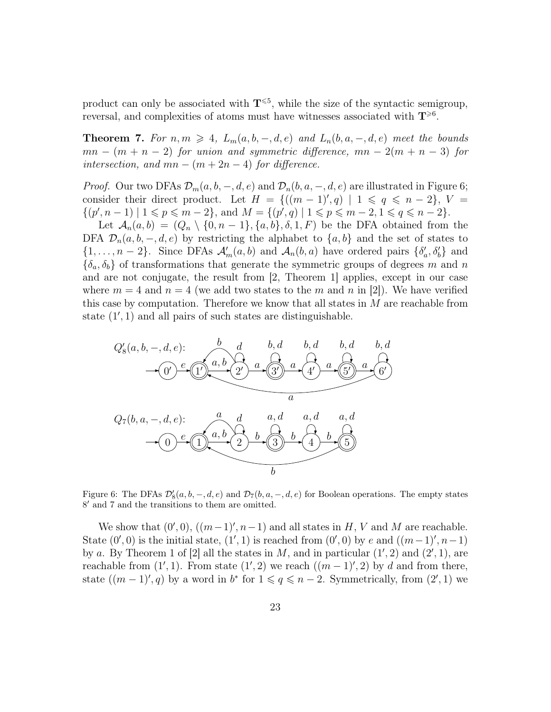product can only be associated with  $T^{\leq 5}$ , while the size of the syntactic semigroup, reversal, and complexities of atoms must have witnesses associated with  $T^{\geq 6}$ .

**Theorem 7.** For  $n, m \geq 4$ ,  $L_m(a, b, -, d, e)$  and  $L_n(b, a, -, d, e)$  meet the bounds  $mn - (m + n - 2)$  for union and symmetric difference,  $mn - 2(m + n - 3)$  for intersection, and  $mn - (m + 2n - 4)$  for difference.

*Proof.* Our two DFAs  $\mathcal{D}_m(a, b, -, d, e)$  and  $\mathcal{D}_n(b, a, -, d, e)$  are illustrated in Figure 6; consider their direct product. Let  $H = \{((m-1)', q) \mid 1 \leq q \leq n-2\}, V =$  $\{(p', n-1) \mid 1 \leq p \leq m-2\},\$  and  $M = \{(p', q) \mid 1 \leq p \leq m-2, 1 \leq q \leq n-2\}.$ 

Let  $\mathcal{A}_n(a, b) = (Q_n \setminus \{0, n-1\}, \{a, b\}, \delta, 1, F)$  be the DFA obtained from the DFA  $\mathcal{D}_n(a, b, -, d, e)$  by restricting the alphabet to  $\{a, b\}$  and the set of states to  $\{1,\ldots,n-2\}$ . Since DFAs  $\mathcal{A}'_m(a,b)$  and  $\mathcal{A}_n(b,a)$  have ordered pairs  $\{\delta'_a,\delta'_b\}$  and  ${\delta_a, \delta_b}$  of transformations that generate the symmetric groups of degrees m and n and are not conjugate, the result from [2, Theorem 1] applies, except in our case where  $m = 4$  and  $n = 4$  (we add two states to the m and n in [2]). We have verified this case by computation. Therefore we know that all states in  $M$  are reachable from state (1′ , 1) and all pairs of such states are distinguishable.



Figure 6: The DFAs  $\mathcal{D}'_8(a, b, -, d, e)$  and  $\mathcal{D}_7(b, a, -, d, e)$  for Boolean operations. The empty states 8 ′ and 7 and the transitions to them are omitted.

We show that  $(0',0)$ ,  $((m-1)',n-1)$  and all states in H, V and M are reachable. State  $(0', 0)$  is the initial state,  $(1', 1)$  is reached from  $(0', 0)$  by e and  $((m-1)', n-1)$ by a. By Theorem 1 of [2] all the states in M, and in particular  $(1', 2)$  and  $(2', 1)$ , are reachable from  $(1', 1)$ . From state  $(1', 2)$  we reach  $((m - 1)', 2)$  by d and from there, state  $((m-1)^\prime, q)$  by a word in  $b^*$  for  $1 \leqslant q \leqslant n-2$ . Symmetrically, from  $(2^\prime, 1)$  we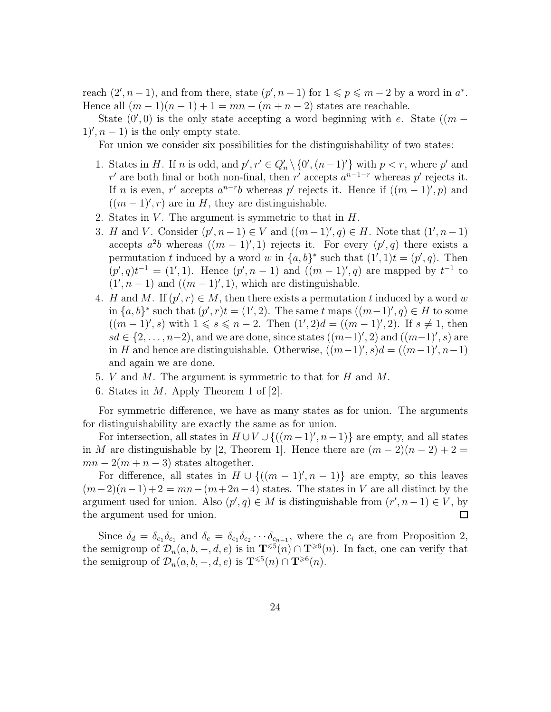reach  $(2', n-1)$ , and from there, state  $(p', n-1)$  for  $1 \leqslant p \leqslant m-2$  by a word in  $a^*$ . Hence all  $(m-1)(n-1)+1=mn-(m+n-2)$  states are reachable.

State  $(0',0)$  is the only state accepting a word beginning with e. State  $((m 1)'$ ,  $n-1$ ) is the only empty state.

For union we consider six possibilities for the distinguishability of two states:

- 1. States in H. If n is odd, and  $p', r' \in Q'_n \setminus \{0', (n-1)'\}$  with  $p < r$ , where p' and r' are both final or both non-final, then r' accepts  $a^{n-1-r}$  whereas p' rejects it. If *n* is even, r' accepts  $a^{n-r}b$  whereas p' rejects it. Hence if  $((m-1)$ ', p) and  $((m-1)^\prime, r)$  are in H, they are distinguishable.
- 2. States in  $V$ . The argument is symmetric to that in  $H$ .
- 3. *H* and *V*. Consider  $(p', n-1) \in V$  and  $((m-1)', q) \in H$ . Note that  $(1', n-1)$ accepts  $a^2b$  whereas  $((m-1)^\prime, 1)$  rejects it. For every  $(p^\prime, q)$  there exists a permutation t induced by a word w in  $\{a, b\}^*$  such that  $(1', 1)t = (p', q)$ . Then  $(p', q)t^{-1} = (1', 1)$ . Hence  $(p', n - 1)$  and  $((m - 1)', q)$  are mapped by  $t^{-1}$  to  $(1', n - 1)$  and  $((m - 1)', 1)$ , which are distinguishable.
- 4. H and M. If  $(p', r) \in M$ , then there exists a permutation t induced by a word w in  $\{a, b\}^*$  such that  $(p', r)t = (1', 2)$ . The same t maps  $((m-1)', q) \in H$  to some  $((m-1)'$ , s) with  $1 \le s \le n-2$ . Then  $(1',2)d = ((m-1)'$ , 2). If  $s \ne 1$ , then sd ∈ {2, ..., n-2), and we are done, since states  $((m-1)$ ', 2) and  $((m-1)$ ', s) are in H and hence are distinguishable. Otherwise,  $((m-1)'$ ,  $s)d = ((m-1)'$ ,  $n-1)$ and again we are done.
- 5. V and M. The argument is symmetric to that for H and M.
- 6. States in M. Apply Theorem 1 of [2].

For symmetric difference, we have as many states as for union. The arguments for distinguishability are exactly the same as for union.

For intersection, all states in  $H \cup V \cup \{((m-1)', n-1)\}\)$  are empty, and all states in M are distinguishable by [2, Theorem 1]. Hence there are  $(m-2)(n-2)+2=$  $mn-2(m+n-3)$  states altogether.

For difference, all states in  $H \cup \{((m-1)', n-1)\}\)$  are empty, so this leaves  $(m-2)(n-1)+2 = mn-(m+2n-4)$  states. The states in V are all distinct by the argument used for union. Also  $(p', q) \in M$  is distinguishable from  $(r', n - 1) \in V$ , by the argument used for union.  $\Box$ 

Since  $\delta_d = \delta_{c_1} \delta_{c_1}$  and  $\delta_e = \delta_{c_1} \delta_{c_2} \cdots \delta_{c_{n-1}}$ , where the  $c_i$  are from Proposition 2, the semigroup of  $\mathcal{D}_n(a, b, -, d, e)$  is in  $\mathbf{T}^{\leq 5}(n) \cap \mathbf{T}^{\geq 6}(n)$ . In fact, one can verify that the semigroup of  $\mathcal{D}_n(a, b, -, d, e)$  is  $\mathbf{T}^{\leq 5}(n) \cap \mathbf{T}^{\geq 6}(n)$ .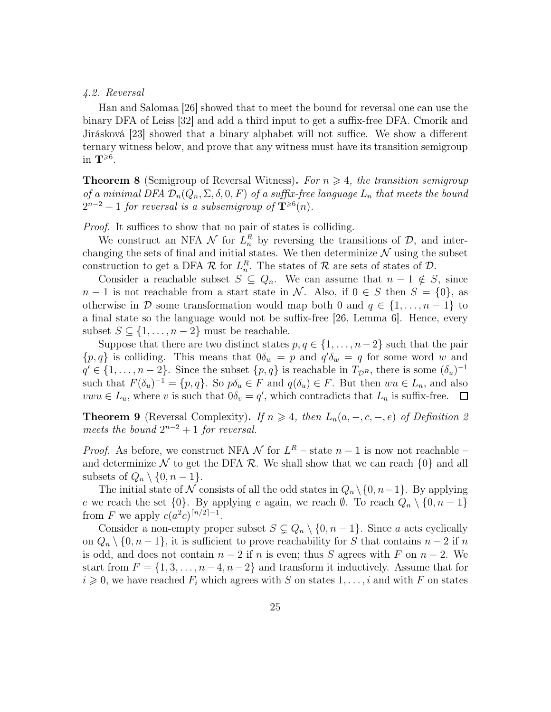#### 4.2. Reversal

Han and Salomaa [26] showed that to meet the bound for reversal one can use the binary DFA of Leiss [32] and add a third input to get a suffix-free DFA. Cmorik and Jirásková [23] showed that a binary alphabet will not suffice. We show a different ternary witness below, and prove that any witness must have its transition semigroup in  $\mathbf{T}^{\geqslant 6}$ .

**Theorem 8** (Semigroup of Reversal Witness). For  $n \geq 4$ , the transition semigroup of a minimal DFA  $\mathcal{D}_n(Q_n, \Sigma, \delta, 0, F)$  of a suffix-free language  $L_n$  that meets the bound  $2^{n-2}+1$  for reversal is a subsemigroup of  $\mathbf{T}^{\geqslant 6}(n)$ .

Proof. It suffices to show that no pair of states is colliding.

We construct an NFA  $\mathcal N$  for  $L_n^R$  by reversing the transitions of  $\mathcal D$ , and interchanging the sets of final and initial states. We then determinize  $\mathcal N$  using the subset construction to get a DFA  $\mathcal R$  for  $L_n^R$ . The states of  $\mathcal R$  are sets of states of  $\mathcal D$ .

Consider a reachable subset  $S \subseteq Q_n$ . We can assume that  $n-1 \notin S$ , since  $n-1$  is not reachable from a start state in N. Also, if  $0 \in S$  then  $S = \{0\}$ , as otherwise in D some transformation would map both 0 and  $q \in \{1, \ldots, n-1\}$  to a final state so the language would not be suffix-free [26, Lemma 6]. Hence, every subset  $S \subseteq \{1, \ldots, n-2\}$  must be reachable.

Suppose that there are two distinct states  $p, q \in \{1, \ldots, n-2\}$  such that the pair  ${p, q}$  is colliding. This means that  $0\delta_w = p$  and  $q'\delta_w = q$  for some word w and  $q' \in \{1, \ldots, n-2\}$ . Since the subset  $\{p, q\}$  is reachable in  $T_{\mathcal{D}^R}$ , there is some  $(\delta_u)^{-1}$ such that  $F(\delta_u)^{-1} = \{p, q\}$ . So  $p\delta_u \in F$  and  $q(\delta_u) \in F$ . But then  $wu \in L_n$ , and also  $vwu \in L_u$ , where v is such that  $0\delta_v = q'$ , which contradicts that  $L_n$  is suffix-free.  $\Box$ 

**Theorem 9** (Reversal Complexity). If  $n \geq 4$ , then  $L_n(a, -, c, -, e)$  of Definition 2 meets the bound  $2^{n-2}+1$  for reversal.

*Proof.* As before, we construct NFA  $\mathcal N$  for  $L^R$  – state  $n-1$  is now not reachable – and determinize N to get the DFA R. We shall show that we can reach  $\{0\}$  and all subsets of  $Q_n \setminus \{0, n-1\}.$ 

The initial state of N consists of all the odd states in  $Q_n \setminus \{0, n-1\}$ . By applying e we reach the set  $\{0\}$ . By applying e again, we reach  $\emptyset$ . To reach  $Q_n \setminus \{0, n-1\}$ from F we apply  $c(a^2c)^{\lceil n/2 \rceil - 1}$ .

Consider a non-empty proper subset  $S \subsetneq Q_n \setminus \{0, n-1\}$ . Since a acts cyclically on  $Q_n \setminus \{0, n-1\}$ , it is sufficient to prove reachability for S that contains  $n-2$  if n is odd, and does not contain  $n-2$  if n is even; thus S agrees with F on  $n-2$ . We start from  $F = \{1, 3, \ldots, n-4, n-2\}$  and transform it inductively. Assume that for  $i \geq 0$ , we have reached  $F_i$  which agrees with S on states  $1, \ldots, i$  and with F on states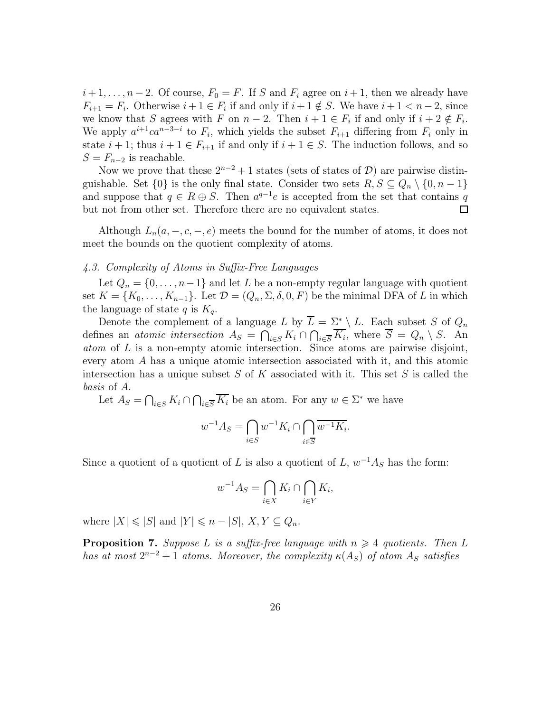$i+1,\ldots,n-2$ . Of course,  $F_0 = F$ . If S and  $F_i$  agree on  $i+1$ , then we already have  $F_{i+1} = F_i$ . Otherwise  $i+1 \in F_i$  if and only if  $i+1 \notin S$ . We have  $i+1 < n-2$ , since we know that S agrees with F on  $n-2$ . Then  $i+1 \in F_i$  if and only if  $i+2 \notin F_i$ . We apply  $a^{i+1}ca^{n-3-i}$  to  $F_i$ , which yields the subset  $F_{i+1}$  differing from  $F_i$  only in state  $i + 1$ ; thus  $i + 1 \in F_{i+1}$  if and only if  $i + 1 \in S$ . The induction follows, and so  $S = F_{n-2}$  is reachable.

Now we prove that these  $2^{n-2}+1$  states (sets of states of D) are pairwise distinguishable. Set  $\{0\}$  is the only final state. Consider two sets  $R, S \subseteq Q_n \setminus \{0, n-1\}$ and suppose that  $q \in R \oplus S$ . Then  $a^{q-1}e$  is accepted from the set that contains q but not from other set. Therefore there are no equivalent states. 口

Although  $L_n(a, -, c, -, e)$  meets the bound for the number of atoms, it does not meet the bounds on the quotient complexity of atoms.

### 4.3. Complexity of Atoms in Suffix-Free Languages

Let  $Q_n = \{0, \ldots, n-1\}$  and let L be a non-empty regular language with quotient set  $K = \{K_0, \ldots, K_{n-1}\}.$  Let  $\mathcal{D} = (Q_n, \Sigma, \delta, 0, F)$  be the minimal DFA of L in which the language of state q is  $K_q$ .

Denote the complement of a language L by  $\overline{L} = \Sigma^* \setminus L$ . Each subset S of  $Q_n$ defines an *atomic intersection*  $A_S = \bigcap_{i \in S} K_i \cap \bigcap_{i \in \overline{S}} K_i$ , where  $S = Q_n \setminus S$ . An atom of L is a non-empty atomic intersection. Since atoms are pairwise disjoint, every atom A has a unique atomic intersection associated with it, and this atomic intersection has a unique subset  $S$  of  $K$  associated with it. This set  $S$  is called the basis of A.

Let  $A_S = \bigcap_{i \in S} K_i \cap \bigcap_{i \in \overline{S}} \overline{K_i}$  be an atom. For any  $w \in \Sigma^*$  we have

$$
w^{-1}A_S = \bigcap_{i \in S} w^{-1}K_i \cap \bigcap_{i \in \overline{S}} \overline{w^{-1}K_i}.
$$

Since a quotient of a quotient of L is also a quotient of L,  $w^{-1}A_S$  has the form:

$$
w^{-1}A_S = \bigcap_{i \in X} K_i \cap \bigcap_{i \in Y} \overline{K_i},
$$

where  $|X| \leq |S|$  and  $|Y| \leq n - |S|$ ,  $X, Y \subset Q_n$ .

**Proposition 7.** Suppose L is a suffix-free language with  $n \geq 4$  quotients. Then L has at most  $2^{n-2}+1$  atoms. Moreover, the complexity  $\kappa(A_S)$  of atom  $A_S$  satisfies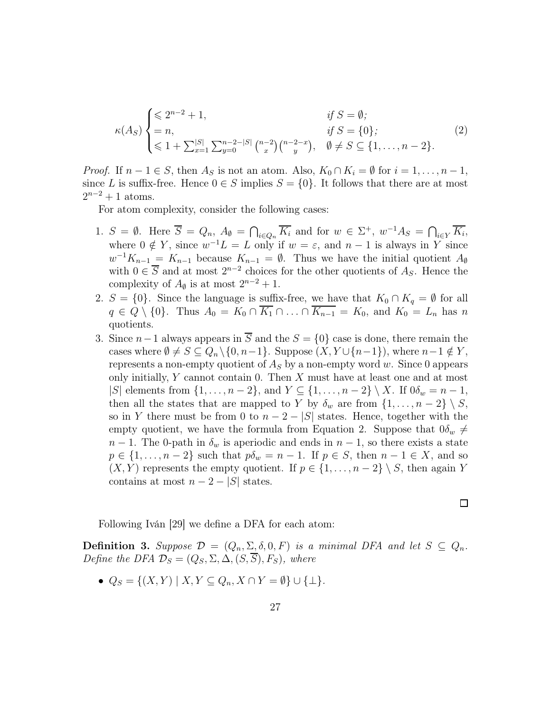$$
\kappa(A_S) \begin{cases} \leq 2^{n-2} + 1, & \text{if } S = \emptyset; \\ = n, & \text{if } S = \{0\}; \\ \leq 1 + \sum_{x=1}^{|S|} \sum_{y=0}^{n-2-|S|} {n-2-x \choose x} {n-2-x \choose y}, & \emptyset \neq S \subseteq \{1, \dots, n-2\}. \end{cases} (2)
$$

*Proof.* If  $n-1 \in S$ , then  $A_S$  is not an atom. Also,  $K_0 \cap K_i = \emptyset$  for  $i = 1, \ldots, n-1$ , since L is suffix-free. Hence  $0 \in S$  implies  $S = \{0\}$ . It follows that there are at most  $2^{n-2} + 1$  atoms.

For atom complexity, consider the following cases:

- 1.  $S = \emptyset$ . Here  $\overline{S} = Q_n$ ,  $A_{\emptyset} = \bigcap_{i \in Q_n} \overline{K_i}$  and for  $w \in \Sigma^+$ ,  $w^{-1}A_S = \bigcap_{i \in Y} \overline{K_i}$ , where  $0 \notin Y$ , since  $w^{-1}L = L$  only if  $w = \varepsilon$ , and  $n - 1$  is always in Y since  $w^{-1}K_{n-1} = K_{n-1}$  because  $K_{n-1} = \emptyset$ . Thus we have the initial quotient  $A_{\emptyset}$ with  $0 \in \overline{S}$  and at most  $2^{n-2}$  choices for the other quotients of  $A_S$ . Hence the complexity of  $A_{\emptyset}$  is at most  $2^{n-2} + 1$ .
- 2.  $S = \{0\}$ . Since the language is suffix-free, we have that  $K_0 \cap K_q = \emptyset$  for all  $q \in Q \setminus \{0\}$ . Thus  $A_0 = K_0 \cap \overline{K_1} \cap \ldots \cap \overline{K_{n-1}} = K_0$ , and  $K_0 = L_n$  has n quotients.
- 3. Since  $n-1$  always appears in  $\overline{S}$  and the  $S = \{0\}$  case is done, there remain the cases where  $\emptyset \neq S \subseteq Q_n \setminus \{0, n-1\}$ . Suppose  $(X, Y \cup \{n-1\})$ , where  $n-1 \notin Y$ , represents a non-empty quotient of  $A<sub>S</sub>$  by a non-empty word w. Since 0 appears only initially,  $Y$  cannot contain 0. Then  $X$  must have at least one and at most |S| elements from  $\{1, \ldots, n-2\}$ , and  $Y \subseteq \{1, \ldots, n-2\} \setminus X$ . If  $0\delta_w = n-1$ , then all the states that are mapped to Y by  $\delta_w$  are from  $\{1, \ldots, n-2\} \setminus S$ , so in Y there must be from 0 to  $n-2-|S|$  states. Hence, together with the empty quotient, we have the formula from Equation 2. Suppose that  $0\delta_w \neq$  $n-1$ . The 0-path in  $\delta_w$  is aperiodic and ends in  $n-1$ , so there exists a state  $p \in \{1, \ldots, n-2\}$  such that  $p\delta_w = n-1$ . If  $p \in S$ , then  $n-1 \in X$ , and so  $(X, Y)$  represents the empty quotient. If  $p \in \{1, \ldots, n-2\} \setminus S$ , then again Y contains at most  $n-2-|S|$  states.

Following Iván [29] we define a DFA for each atom:

**Definition 3.** Suppose  $\mathcal{D} = (Q_n, \Sigma, \delta, 0, F)$  is a minimal DFA and let  $S \subseteq Q_n$ . Define the DFA  $\mathcal{D}_S = (Q_S, \Sigma, \Delta, (S, \overline{S}), F_S)$ , where

 $\Box$ 

•  $Q_S = \{(X, Y) \mid X, Y \subseteq Q_n, X \cap Y = \emptyset\} \cup \{\perp\}.$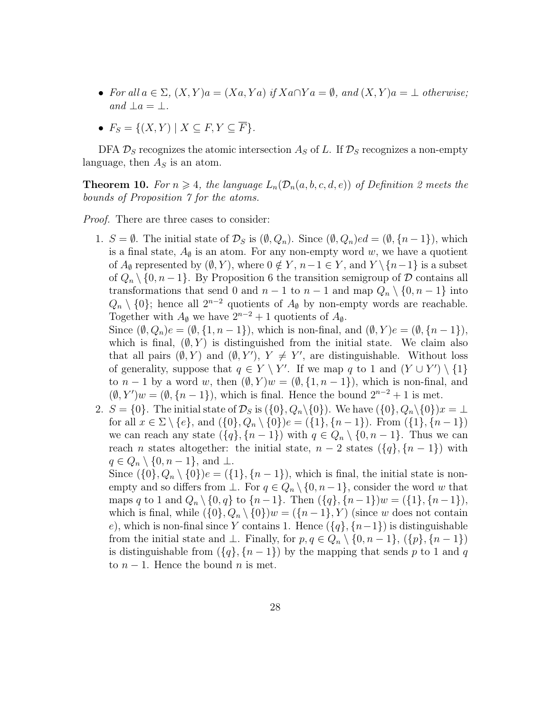- For all  $a \in \Sigma$ ,  $(X, Y)a = (Xa, Ya)$  if  $Xa \cap Ya = \emptyset$ , and  $(X, Y)a = \bot$  otherwise; and  $\perp a = \perp$ .
- $F_S = \{(X, Y) \mid X \subseteq F, Y \subseteq \overline{F}\}.$

DFA  $\mathcal{D}_S$  recognizes the atomic intersection  $A_S$  of L. If  $\mathcal{D}_S$  recognizes a non-empty language, then  $A<sub>S</sub>$  is an atom.

**Theorem 10.** For  $n \geq 4$ , the language  $L_n(\mathcal{D}_n(a, b, c, d, e))$  of Definition 2 meets the bounds of Proposition 7 for the atoms.

Proof. There are three cases to consider:

1.  $S = \emptyset$ . The initial state of  $\mathcal{D}_S$  is  $(\emptyset, Q_n)$ . Since  $(\emptyset, Q_n)$ ed =  $(\emptyset, \{n-1\})$ , which is a final state,  $A_{\emptyset}$  is an atom. For any non-empty word w, we have a quotient of  $A_{\emptyset}$  represented by  $(\emptyset, Y)$ , where  $0 \notin Y$ ,  $n-1 \in Y$ , and  $Y \setminus \{n-1\}$  is a subset of  $Q_n \setminus \{0, n-1\}$ . By Proposition 6 the transition semigroup of D contains all transformations that send 0 and  $n-1$  to  $n-1$  and map  $Q_n \setminus \{0, n-1\}$  into  $Q_n \setminus \{0\}$ ; hence all  $2^{n-2}$  quotients of  $A_{\emptyset}$  by non-empty words are reachable. Together with  $A_{\emptyset}$  we have  $2^{n-2} + 1$  quotients of  $A_{\emptyset}$ .

Since  $(\emptyset, Q_n)e = (\emptyset, \{1, n-1\}),$  which is non-final, and  $(\emptyset, Y)e = (\emptyset, \{n-1\}),$ which is final,  $(\emptyset, Y)$  is distinguished from the initial state. We claim also that all pairs  $(\emptyset, Y)$  and  $(\emptyset, Y')$ ,  $Y \neq Y'$ , are distinguishable. Without loss of generality, suppose that  $q \in Y \setminus Y'$ . If we map q to 1 and  $(Y \cup Y') \setminus \{1\}$ to  $n-1$  by a word w, then  $(\emptyset, Y)w = (\emptyset, \{1, n-1\})$ , which is non-final, and  $(\emptyset, Y')w = (\emptyset, \{n-1\}),$  which is final. Hence the bound  $2^{n-2} + 1$  is met.

2.  $S = \{0\}$ . The initial state of  $\mathcal{D}_S$  is  $(\{0\}, Q_n \setminus \{0\})$ . We have  $(\{0\}, Q_n \setminus \{0\})x = \bot$ for all  $x \in \Sigma \setminus \{e\}$ , and  $(\{0\}, Q_n \setminus \{0\})e = (\{1\}, \{n-1\})$ . From  $(\{1\}, \{n-1\})$ we can reach any state  $({q}, {n-1})$  with  $q \in Q_n \setminus {0, n-1}$ . Thus we can reach *n* states altogether: the initial state,  $n-2$  states  $({q}, {n-1})$  with  $q \in Q_n \setminus \{0, n-1\}$ , and  $\perp$ .

Since  $({0}, Q_n \setminus {0})e = ({1}, {n-1})$ , which is final, the initial state is nonempty and so differs from  $\bot$ . For  $q \in Q_n \setminus \{0, n-1\}$ , consider the word w that maps q to 1 and  $Q_n \setminus \{0, q\}$  to  $\{n-1\}$ . Then  $(\{q\}, \{n-1\})w = (\{1\}, \{n-1\}),$ which is final, while  $({0}, Q_n \setminus {0})w = ({n-1}, Y)$  (since w does not contain e), which is non-final since Y contains 1. Hence  $({q}, {n-1})$  is distinguishable from the initial state and  $\bot$ . Finally, for  $p, q \in Q_n \setminus \{0, n-1\}, \{\{p\}, \{n-1\}\}\$ is distinguishable from  $({q}, {n-1})$  by the mapping that sends p to 1 and q to  $n-1$ . Hence the bound n is met.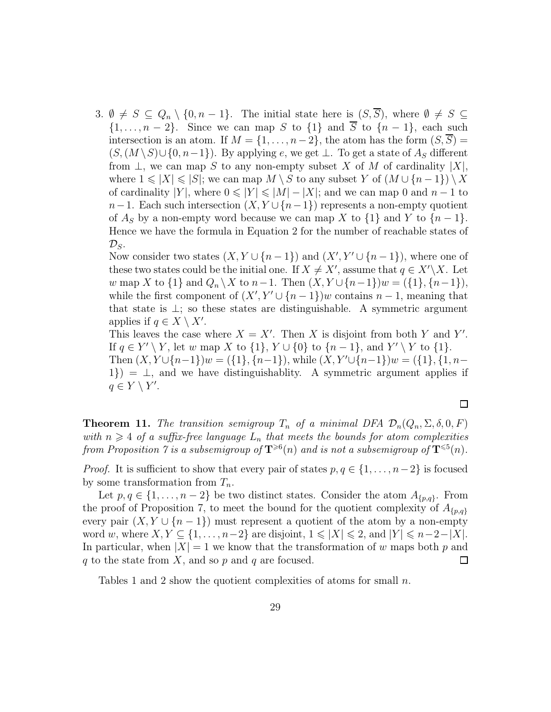3.  $\emptyset \neq S \subseteq Q_n \setminus \{0, n-1\}.$  The initial state here is  $(S, \overline{S})$ , where  $\emptyset \neq S \subseteq$  $\{1, \ldots, n-2\}$ . Since we can map S to  $\{1\}$  and  $\overline{S}$  to  $\{n-1\}$ , each such intersection is an atom. If  $M = \{1, \ldots, n-2\}$ , the atom has the form  $(S, S)$  $(S,(M \setminus S) \cup \{0,n-1\})$ . By applying e, we get  $\perp$ . To get a state of  $A_S$  different from  $\perp$ , we can map S to any non-empty subset X of M of cardinality  $|X|$ , where  $1 \leqslant |X| \leqslant |S|$ ; we can map  $M \setminus S$  to any subset Y of  $(M \cup \{n-1\}) \setminus X$ of cardinality |Y|, where  $0 \le |Y| \le |M| - |X|$ ; and we can map 0 and  $n-1$  to  $n-1$ . Each such intersection  $(X, Y \cup \{n-1\})$  represents a non-empty quotient of  $A_S$  by a non-empty word because we can map X to  $\{1\}$  and Y to  $\{n-1\}$ . Hence we have the formula in Equation 2 for the number of reachable states of  $\mathcal{D}_S$ .

Now consider two states  $(X, Y \cup \{n-1\})$  and  $(X', Y' \cup \{n-1\})$ , where one of these two states could be the initial one. If  $X \neq X'$ , assume that  $q \in X' \backslash X$ . Let w map X to  $\{1\}$  and  $Q_n \setminus X$  to  $n-1$ . Then  $(X, Y \cup \{n-1\})w = (\{1\}, \{n-1\}),$ while the first component of  $(X', Y' \cup \{n-1\})$ w contains  $n-1$ , meaning that that state is  $\perp$ ; so these states are distinguishable. A symmetric argument applies if  $q \in X \setminus X'$ .

This leaves the case where  $X = X'$ . Then X is disjoint from both Y and Y'. If  $q \in Y' \setminus Y$ , let w map X to  $\{1\}$ ,  $Y \cup \{0\}$  to  $\{n-1\}$ , and  $Y' \setminus Y$  to  $\{1\}$ . Then  $(X, Y \cup \{n-1\})w = (\{1\}, \{n-1\})$ , while  $(X, Y' \cup \{n-1\})w = (\{1\}, \{1, n-1\})w$  $1) = \perp$ , and we have distinguishablity. A symmetric argument applies if  $q \in Y \setminus Y'$ .

**Theorem 11.** The transition semigroup  $T_n$  of a minimal DFA  $\mathcal{D}_n(Q_n, \Sigma, \delta, 0, F)$ with  $n \geq 4$  of a suffix-free language  $L_n$  that meets the bounds for atom complexities from Proposition  $\gamma$  is a subsemigroup of  $\mathbf{T}^{\geqslant 6}(n)$  and is not a subsemigroup of  $\mathbf{T}^{\leqslant 5}(n)$ .

*Proof.* It is sufficient to show that every pair of states  $p, q \in \{1, \ldots, n-2\}$  is focused by some transformation from  $T_n$ .

Let  $p, q \in \{1, \ldots, n-2\}$  be two distinct states. Consider the atom  $A_{\{p,q\}}$ . From the proof of Proposition 7, to meet the bound for the quotient complexity of  $A_{p,q}$ every pair  $(X, Y \cup \{n-1\})$  must represent a quotient of the atom by a non-empty word w, where  $X, Y \subseteq \{1, \ldots, n-2\}$  are disjoint,  $1 \leqslant |X| \leqslant 2$ , and  $|Y| \leqslant n-2-|X|$ . In particular, when  $|X| = 1$  we know that the transformation of w maps both p and q to the state from  $X$ , and so p and q are focused.  $\Box$ 

Tables 1 and 2 show the quotient complexities of atoms for small  $n$ .

 $\Box$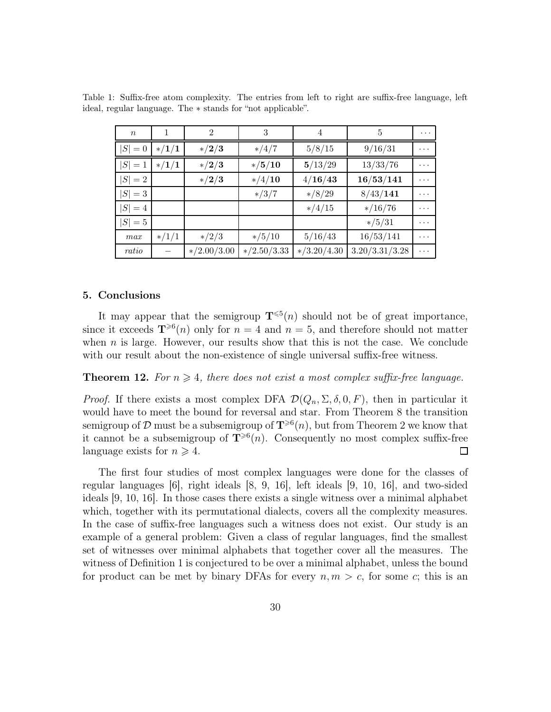| $\boldsymbol{n}$ |         | $\mathfrak{D}$ | 3                 | 4             | 5              | $\cdots$ |
|------------------|---------|----------------|-------------------|---------------|----------------|----------|
| $ S =0$          | $*/1/1$ | $\ast/2/3$     | $*/4/7$           | 5/8/15        | 9/16/31        |          |
| $ S =1$          | $*/1/1$ | $*/2/3$        | $*/5/10$          | 5/13/29       | 13/33/76       | .        |
| $ S =2$          |         | $*/2/3$        | $*/4/10$          | 4/16/43       | 16/53/141      | .        |
| $ S =3$          |         |                | $*/3/7$           | $*/8/29$      | 8/43/141       | .        |
| $ S =4$          |         |                |                   | $*/4/15$      | $*/16/76$      | .        |
| $ S =5$          |         |                |                   |               | $*/5/31$       | $\cdots$ |
| max              | $*/1/1$ | $\frac{*}{2}$  | $\frac{*}{5}{10}$ | 5/16/43       | 16/53/141      | .        |
| ratio            |         | $*/2.00/3.00$  | $*/2.50/3.33$     | $*/3.20/4.30$ | 3.20/3.31/3.28 | .        |

Table 1: Suffix-free atom complexity. The entries from left to right are suffix-free language, left ideal, regular language. The ∗ stands for "not applicable".

#### 5. Conclusions

It may appear that the semigroup  $\mathbf{T}^{\leqslant 5}(n)$  should not be of great importance, since it exceeds  $\mathbf{T}^{\geq 6}(n)$  only for  $n = 4$  and  $n = 5$ , and therefore should not matter when  $n$  is large. However, our results show that this is not the case. We conclude with our result about the non-existence of single universal suffix-free witness.

**Theorem 12.** For  $n \geq 4$ , there does not exist a most complex suffix-free language.

*Proof.* If there exists a most complex DFA  $\mathcal{D}(Q_n, \Sigma, \delta, 0, F)$ , then in particular it would have to meet the bound for reversal and star. From Theorem 8 the transition semigroup of  $\mathcal D$  must be a subsemigroup of  $\mathbf T^{\geqslant 6}(n)$ , but from Theorem 2 we know that it cannot be a subsemigroup of  $\mathbf{T}^{\geqslant 6}(n)$ . Consequently no most complex suffix-free language exists for  $n \geqslant 4$ . □

The first four studies of most complex languages were done for the classes of regular languages [6], right ideals [8, 9, 16], left ideals [9, 10, 16], and two-sided ideals [9, 10, 16]. In those cases there exists a single witness over a minimal alphabet which, together with its permutational dialects, covers all the complexity measures. In the case of suffix-free languages such a witness does not exist. Our study is an example of a general problem: Given a class of regular languages, find the smallest set of witnesses over minimal alphabets that together cover all the measures. The witness of Definition 1 is conjectured to be over a minimal alphabet, unless the bound for product can be met by binary DFAs for every  $n, m > c$ , for some c; this is an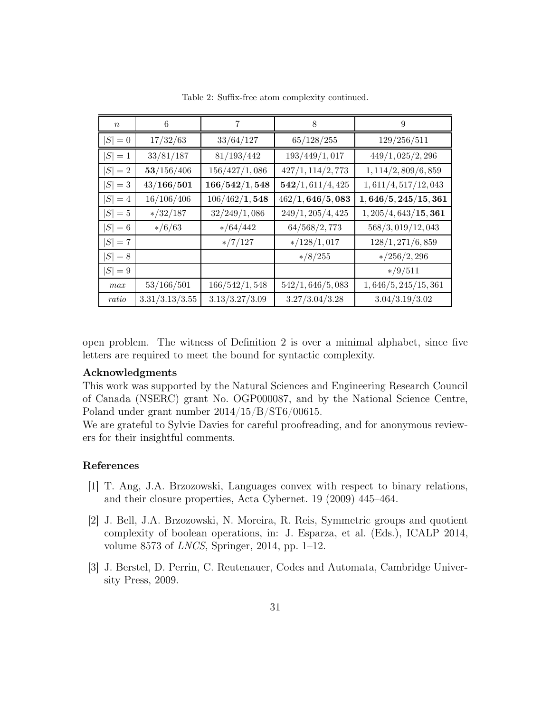| $\boldsymbol{n}$ | 6              | 7              | 8                 | 9                     |
|------------------|----------------|----------------|-------------------|-----------------------|
| $ S =0$          | 17/32/63       | 33/64/127      | 65/128/255        | 129/256/511           |
| $ S =1$          | 33/81/187      | 81/193/442     | 193/449/1,017     | 449/1,025/2,296       |
| $ S =2$          | 53/156/406     | 156/427/1,086  | 427/1, 114/2, 773 | 1, 114/2, 809/6, 859  |
| $ S =3$          | 43/166/501     | 166/542/1,548  | 542/1, 611/4, 425 | 1,611/4,517/12,043    |
| $ S =4$          | 16/106/406     | 106/462/1,548  | 462/1, 646/5, 083 | 1,646/5,245/15,361    |
| $ S =5$          | $*/32/187$     | 32/249/1,086   | 249/1, 205/4, 425 | 1, 205/4, 643/15, 361 |
| $ S  = 6$        | $*/6/63$       | $*/64/442$     | 64/568/2,773      | 568/3,019/12,043      |
| $ S =7$          |                | $*/7/127$      | $*/128/1,017$     | 128/1, 271/6, 859     |
| $ S =8$          |                |                | $*/8/255$         | $*/256/2,296$         |
| $ S =9$          |                |                |                   | $*/9/511$             |
| max              | 53/166/501     | 166/542/1,548  | 542/1, 646/5, 083 | 1,646/5,245/15,361    |
| ratio            | 3.31/3.13/3.55 | 3.13/3.27/3.09 | 3.27/3.04/3.28    | 3.04/3.19/3.02        |

Table 2: Suffix-free atom complexity continued.

open problem. The witness of Definition 2 is over a minimal alphabet, since five letters are required to meet the bound for syntactic complexity.

#### Acknowledgments

This work was supported by the Natural Sciences and Engineering Research Council of Canada (NSERC) grant No. OGP000087, and by the National Science Centre, Poland under grant number 2014/15/B/ST6/00615.

We are grateful to Sylvie Davies for careful proofreading, and for anonymous reviewers for their insightful comments.

### References

- [1] T. Ang, J.A. Brzozowski, Languages convex with respect to binary relations, and their closure properties, Acta Cybernet. 19 (2009) 445–464.
- [2] J. Bell, J.A. Brzozowski, N. Moreira, R. Reis, Symmetric groups and quotient complexity of boolean operations, in: J. Esparza, et al. (Eds.), ICALP 2014, volume 8573 of LNCS, Springer, 2014, pp. 1–12.
- [3] J. Berstel, D. Perrin, C. Reutenauer, Codes and Automata, Cambridge University Press, 2009.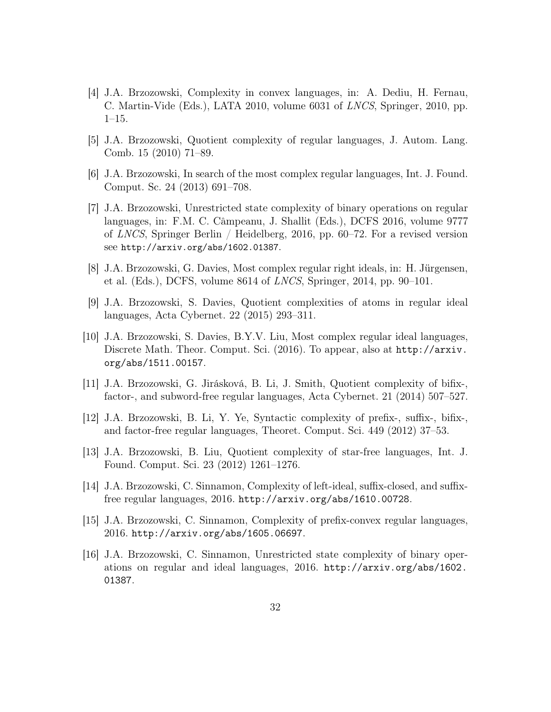- [4] J.A. Brzozowski, Complexity in convex languages, in: A. Dediu, H. Fernau, C. Martin-Vide (Eds.), LATA 2010, volume 6031 of LNCS, Springer, 2010, pp. 1–15.
- [5] J.A. Brzozowski, Quotient complexity of regular languages, J. Autom. Lang. Comb. 15 (2010) 71–89.
- [6] J.A. Brzozowski, In search of the most complex regular languages, Int. J. Found. Comput. Sc. 24 (2013) 691–708.
- [7] J.A. Brzozowski, Unrestricted state complexity of binary operations on regular languages, in: F.M. C. Câmpeanu, J. Shallit (Eds.), DCFS 2016, volume 9777 of LNCS, Springer Berlin / Heidelberg, 2016, pp.  $60-72$ . For a revised version see http://arxiv.org/abs/1602.01387.
- [8] J.A. Brzozowski, G. Davies, Most complex regular right ideals, in: H. Jürgensen, et al. (Eds.), DCFS, volume 8614 of LNCS, Springer, 2014, pp. 90–101.
- [9] J.A. Brzozowski, S. Davies, Quotient complexities of atoms in regular ideal languages, Acta Cybernet. 22 (2015) 293–311.
- [10] J.A. Brzozowski, S. Davies, B.Y.V. Liu, Most complex regular ideal languages, Discrete Math. Theor. Comput. Sci. (2016). To appear, also at http://arxiv. org/abs/1511.00157.
- [11] J.A. Brzozowski, G. Jirásková, B. Li, J. Smith, Quotient complexity of bifix-, factor-, and subword-free regular languages, Acta Cybernet. 21 (2014) 507–527.
- [12] J.A. Brzozowski, B. Li, Y. Ye, Syntactic complexity of prefix-, suffix-, bifix-, and factor-free regular languages, Theoret. Comput. Sci. 449 (2012) 37–53.
- [13] J.A. Brzozowski, B. Liu, Quotient complexity of star-free languages, Int. J. Found. Comput. Sci. 23 (2012) 1261–1276.
- [14] J.A. Brzozowski, C. Sinnamon, Complexity of left-ideal, suffix-closed, and suffixfree regular languages, 2016. http://arxiv.org/abs/1610.00728.
- [15] J.A. Brzozowski, C. Sinnamon, Complexity of prefix-convex regular languages, 2016. http://arxiv.org/abs/1605.06697.
- [16] J.A. Brzozowski, C. Sinnamon, Unrestricted state complexity of binary operations on regular and ideal languages, 2016. http://arxiv.org/abs/1602. 01387.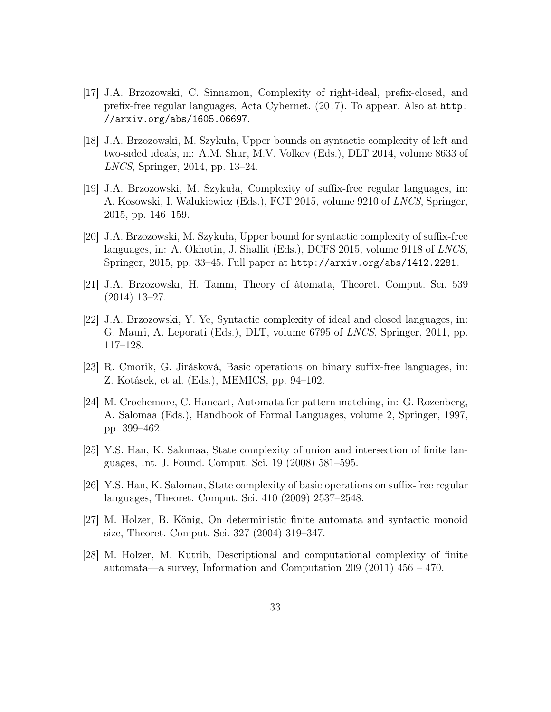- [17] J.A. Brzozowski, C. Sinnamon, Complexity of right-ideal, prefix-closed, and prefix-free regular languages, Acta Cybernet. (2017). To appear. Also at http: //arxiv.org/abs/1605.06697.
- [18] J.A. Brzozowski, M. Szykuła, Upper bounds on syntactic complexity of left and two-sided ideals, in: A.M. Shur, M.V. Volkov (Eds.), DLT 2014, volume 8633 of LNCS, Springer, 2014, pp. 13–24.
- [19] J.A. Brzozowski, M. Szykuła, Complexity of suffix-free regular languages, in: A. Kosowski, I. Walukiewicz (Eds.), FCT 2015, volume 9210 of LNCS, Springer, 2015, pp. 146–159.
- [20] J.A. Brzozowski, M. Szykuła, Upper bound for syntactic complexity of suffix-free languages, in: A. Okhotin, J. Shallit (Eds.), DCFS 2015, volume 9118 of LNCS, Springer, 2015, pp. 33–45. Full paper at http://arxiv.org/abs/1412.2281.
- [21] J.A. Brzozowski, H. Tamm, Theory of átomata, Theoret. Comput. Sci. 539 (2014) 13–27.
- [22] J.A. Brzozowski, Y. Ye, Syntactic complexity of ideal and closed languages, in: G. Mauri, A. Leporati (Eds.), DLT, volume 6795 of LNCS, Springer, 2011, pp. 117–128.
- [23] R. Cmorik, G. Jirásková, Basic operations on binary suffix-free languages, in: Z. Kotásek, et al. (Eds.), MEMICS, pp. 94–102.
- [24] M. Crochemore, C. Hancart, Automata for pattern matching, in: G. Rozenberg, A. Salomaa (Eds.), Handbook of Formal Languages, volume 2, Springer, 1997, pp. 399–462.
- [25] Y.S. Han, K. Salomaa, State complexity of union and intersection of finite languages, Int. J. Found. Comput. Sci. 19 (2008) 581–595.
- [26] Y.S. Han, K. Salomaa, State complexity of basic operations on suffix-free regular languages, Theoret. Comput. Sci. 410 (2009) 2537–2548.
- [27] M. Holzer, B. König, On deterministic finite automata and syntactic monoid size, Theoret. Comput. Sci. 327 (2004) 319–347.
- [28] M. Holzer, M. Kutrib, Descriptional and computational complexity of finite automata—a survey, Information and Computation 209 (2011)  $456 - 470$ .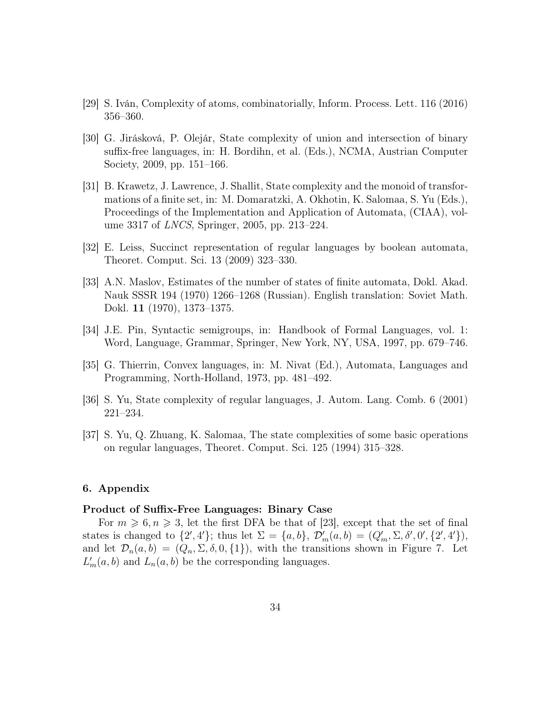- [29] S. Iván, Complexity of atoms, combinatorially, Inform. Process. Lett. 116 (2016) 356–360.
- [30] G. Jirásková, P. Olejár, State complexity of union and intersection of binary suffix-free languages, in: H. Bordihn, et al. (Eds.), NCMA, Austrian Computer Society, 2009, pp. 151–166.
- [31] B. Krawetz, J. Lawrence, J. Shallit, State complexity and the monoid of transformations of a finite set, in: M. Domaratzki, A. Okhotin, K. Salomaa, S. Yu (Eds.), Proceedings of the Implementation and Application of Automata, (CIAA), volume 3317 of LNCS, Springer, 2005, pp. 213–224.
- [32] E. Leiss, Succinct representation of regular languages by boolean automata, Theoret. Comput. Sci. 13 (2009) 323–330.
- [33] A.N. Maslov, Estimates of the number of states of finite automata, Dokl. Akad. Nauk SSSR 194 (1970) 1266–1268 (Russian). English translation: Soviet Math. Dokl. 11 (1970), 1373–1375.
- [34] J.E. Pin, Syntactic semigroups, in: Handbook of Formal Languages, vol. 1: Word, Language, Grammar, Springer, New York, NY, USA, 1997, pp. 679–746.
- [35] G. Thierrin, Convex languages, in: M. Nivat (Ed.), Automata, Languages and Programming, North-Holland, 1973, pp. 481–492.
- [36] S. Yu, State complexity of regular languages, J. Autom. Lang. Comb. 6 (2001) 221–234.
- [37] S. Yu, Q. Zhuang, K. Salomaa, The state complexities of some basic operations on regular languages, Theoret. Comput. Sci. 125 (1994) 315–328.

#### 6. Appendix

#### Product of Suffix-Free Languages: Binary Case

For  $m \geq 6, n \geq 3$ , let the first DFA be that of [23], except that the set of final states is changed to  $\{2', 4'\}$ ; thus let  $\Sigma = \{a, b\}$ ,  $\mathcal{D}'_m(a, b) = (Q'_m, \Sigma, \delta', 0', \{2', 4'\})$ , and let  $\mathcal{D}_n(a, b) = (Q_n, \Sigma, \delta, 0, \{1\})$ , with the transitions shown in Figure 7. Let  $L'_m(a, b)$  and  $L_n(a, b)$  be the corresponding languages.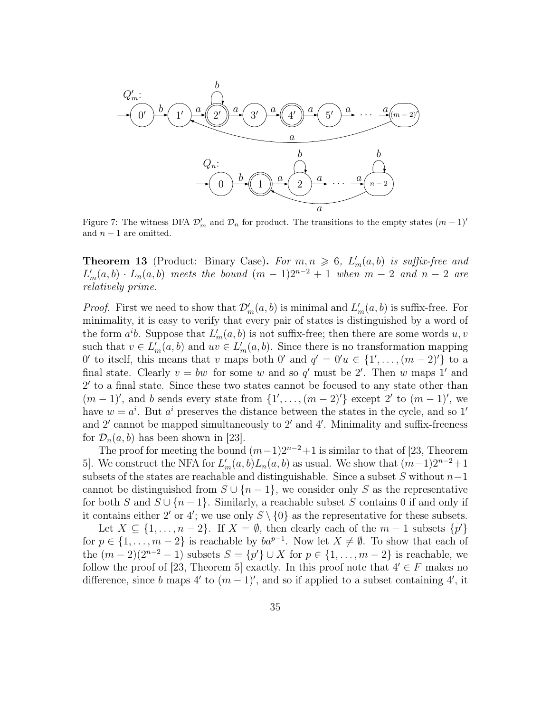

Figure 7: The witness DFA  $\mathcal{D}'_m$  and  $\mathcal{D}_n$  for product. The transitions to the empty states  $(m-1)'$ and  $n-1$  are omitted.

**Theorem 13** (Product: Binary Case). For  $m, n \ge 6$ ,  $L'_m(a, b)$  is suffix-free and  $L'_m(a,b) \cdot L_n(a,b)$  meets the bound  $(m-1)2^{n-2}+1$  when  $m-2$  and  $n-2$  are relatively prime.

*Proof.* First we need to show that  $\mathcal{D}'_m(a, b)$  is minimal and  $L'_m(a, b)$  is suffix-free. For minimality, it is easy to verify that every pair of states is distinguished by a word of the form  $a^i b$ . Suppose that  $L'_m(a, b)$  is not suffix-free; then there are some words  $u, v$ such that  $v \in L'_m(a, b)$  and  $uv \in L'_m(a, b)$ . Since there is no transformation mapping 0' to itself, this means that v maps both 0' and  $q' = 0'u \in \{1', \ldots, (m-2)'\}$  to a final state. Clearly  $v = bw$  for some w and so q' must be 2'. Then w maps 1' and 2 ′ to a final state. Since these two states cannot be focused to any state other than  $(m-1)$ ', and b sends every state from  $\{1', \ldots, (m-2)'\}$  except 2' to  $(m-1)$ ', we have  $w = a^i$ . But  $a^i$  preserves the distance between the states in the cycle, and so 1' and 2' cannot be mapped simultaneously to 2' and 4'. Minimality and suffix-freeness for  $\mathcal{D}_n(a, b)$  has been shown in [23].

The proof for meeting the bound  $(m-1)2^{n-2}+1$  is similar to that of [23, Theorem 5. We construct the NFA for  $L'_m(a, b)L_n(a, b)$  as usual. We show that  $(m-1)2^{n-2}+1$ subsets of the states are reachable and distinguishable. Since a subset S without  $n-1$ cannot be distinguished from  $S \cup \{n-1\}$ , we consider only S as the representative for both S and  $S \cup \{n-1\}$ . Similarly, a reachable subset S contains 0 if and only if it contains either 2' or 4'; we use only  $S \setminus \{0\}$  as the representative for these subsets.

Let  $X \subseteq \{1, \ldots, n-2\}$ . If  $X = \emptyset$ , then clearly each of the  $m-1$  subsets  $\{p'\}$ for  $p \in \{1, \ldots, m-2\}$  is reachable by  $ba^{p-1}$ . Now let  $X \neq \emptyset$ . To show that each of the  $(m-2)(2^{n-2}-1)$  subsets  $S = \{p'\} \cup X$  for  $p \in \{1, ..., m-2\}$  is reachable, we follow the proof of [23, Theorem 5] exactly. In this proof note that  $4' \in F$  makes no difference, since b maps 4' to  $(m-1)$ ', and so if applied to a subset containing 4', it